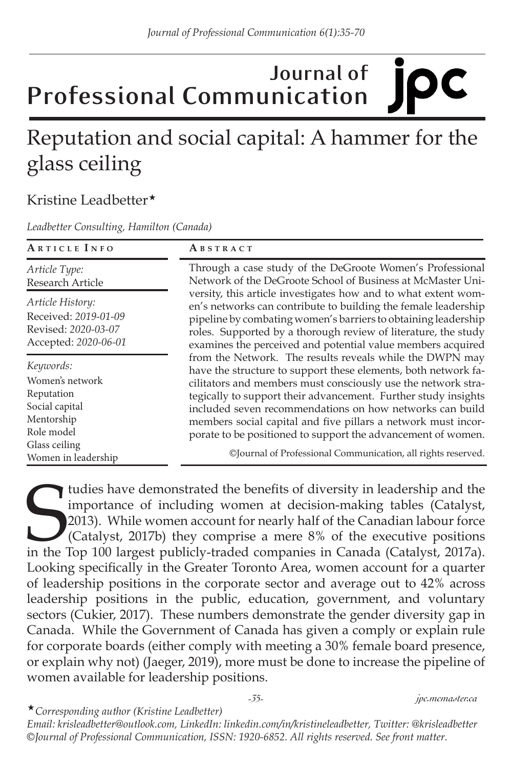## **Journal of IDC Professional Communication**

# Reputation and social capital: A hammer for the glass ceiling

### Kristine Leadbetter\*

*Leadbetter Consulting, Hamilton (Canada)*

| ARTICLE INFO                                                                             | ABSTRACT                                                                                                                                                                                                                                                                                                                                                                                                                                                   |
|------------------------------------------------------------------------------------------|------------------------------------------------------------------------------------------------------------------------------------------------------------------------------------------------------------------------------------------------------------------------------------------------------------------------------------------------------------------------------------------------------------------------------------------------------------|
| Article Type:<br><b>Research Article</b>                                                 | Through a case study of the DeGroote Women's Professional<br>Network of the DeGroote School of Business at McMaster Uni-                                                                                                                                                                                                                                                                                                                                   |
| Article History:<br>Received: 2019-01-09<br>Revised: 2020-03-07<br>Accepted: 2020-06-01  | versity, this article investigates how and to what extent wom-<br>en's networks can contribute to building the female leadership<br>pipeline by combating women's barriers to obtaining leadership<br>roles. Supported by a thorough review of literature, the study<br>examines the perceived and potential value members acquired                                                                                                                        |
| Keywords:<br>Women's network<br>Reputation<br>Social capital<br>Mentorship<br>Role model | from the Network. The results reveals while the DWPN may<br>have the structure to support these elements, both network fa-<br>cilitators and members must consciously use the network stra-<br>tegically to support their advancement. Further study insights<br>included seven recommendations on how networks can build<br>members social capital and five pillars a network must incor-<br>porate to be positioned to support the advancement of women. |
| Glass ceiling<br>Women in leadership                                                     | ©Journal of Professional Communication, all rights reserved.                                                                                                                                                                                                                                                                                                                                                                                               |

tudies have demonstrated the benefits of diversity in leadership and the importance of including women at decision-making tables (Catalyst, 2013). While women account for nearly half of the Canadian labour force (Catalyst, tudies have demonstrated the benefits of diversity in leadership and the importance of including women at decision-making tables (Catalyst, 2013). While women account for nearly half of the Canadian labour force (Catalyst, 2017b) they comprise a mere 8% of the executive positions Looking specifically in the Greater Toronto Area, women account for a quarter of leadership positions in the corporate sector and average out to 42% across leadership positions in the public, education, government, and voluntary sectors (Cukier, 2017). These numbers demonstrate the gender diversity gap in Canada. While the Government of Canada has given a comply or explain rule for corporate boards (either comply with meeting a 30% female board presence, or explain why not) (Jaeger, 2019), more must be done to increase the pipeline of women available for leadership positions.

#### *-35- jpc.mcmaster.ca*

«*Corresponding author (Kristine Leadbetter)* 

*Email: krisleadbetter@outlook.com, LinkedIn: linkedin.com/in/kristineleadbetter, Twitter: @krisleadbetter ©Journal of Professional Communication, ISSN: 1920-6852. All rights reserved. See front matter.*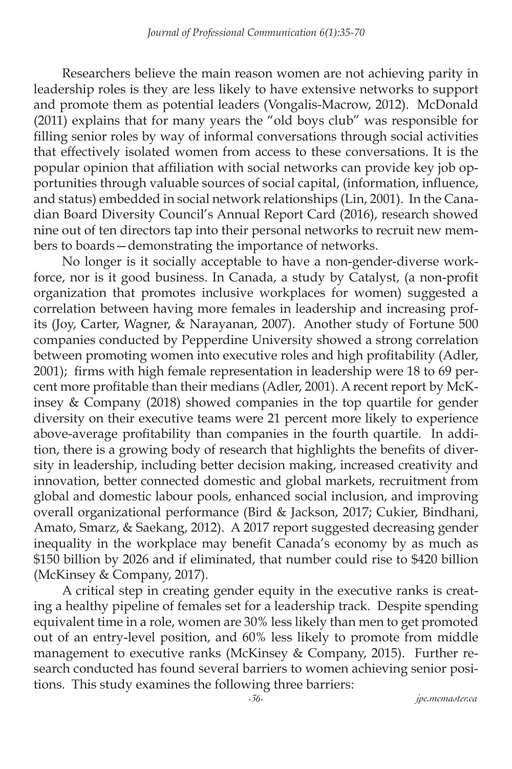Researchers believe the main reason women are not achieving parity in leadership roles is they are less likely to have extensive networks to support and promote them as potential leaders (Vongalis-Macrow, 2012). McDonald (2011) explains that for many years the "old boys club" was responsible for filling senior roles by way of informal conversations through social activities that effectively isolated women from access to these conversations. It is the popular opinion that affiliation with social networks can provide key job opportunities through valuable sources of social capital, (information, influence, and status) embedded in social network relationships (Lin, 2001). In the Canadian Board Diversity Council's Annual Report Card (2016), research showed nine out of ten directors tap into their personal networks to recruit new members to boards—demonstrating the importance of networks.

No longer is it socially acceptable to have a non-gender-diverse workforce, nor is it good business. In Canada, a study by Catalyst, (a non-profit organization that promotes inclusive workplaces for women) suggested a correlation between having more females in leadership and increasing profits (Joy, Carter, Wagner, & Narayanan, 2007). Another study of Fortune 500 companies conducted by Pepperdine University showed a strong correlation between promoting women into executive roles and high profitability (Adler, 2001); firms with high female representation in leadership were 18 to 69 percent more profitable than their medians (Adler, 2001). A recent report by McKinsey & Company (2018) showed companies in the top quartile for gender diversity on their executive teams were 21 percent more likely to experience above-average profitability than companies in the fourth quartile. In addition, there is a growing body of research that highlights the benefits of diversity in leadership, including better decision making, increased creativity and innovation, better connected domestic and global markets, recruitment from global and domestic labour pools, enhanced social inclusion, and improving overall organizational performance (Bird & Jackson, 2017; Cukier, Bindhani, Amato, Smarz, & Saekang, 2012). A 2017 report suggested decreasing gender inequality in the workplace may benefit Canada's economy by as much as \$150 billion by 2026 and if eliminated, that number could rise to \$420 billion (McKinsey & Company, 2017).

A critical step in creating gender equity in the executive ranks is creating a healthy pipeline of females set for a leadership track. Despite spending equivalent time in a role, women are 30% less likely than men to get promoted out of an entry-level position, and 60% less likely to promote from middle management to executive ranks (McKinsey & Company, 2015). Further research conducted has found several barriers to women achieving senior positions. This study examines the following three barriers:

*-36- jpc.mcmaster.ca*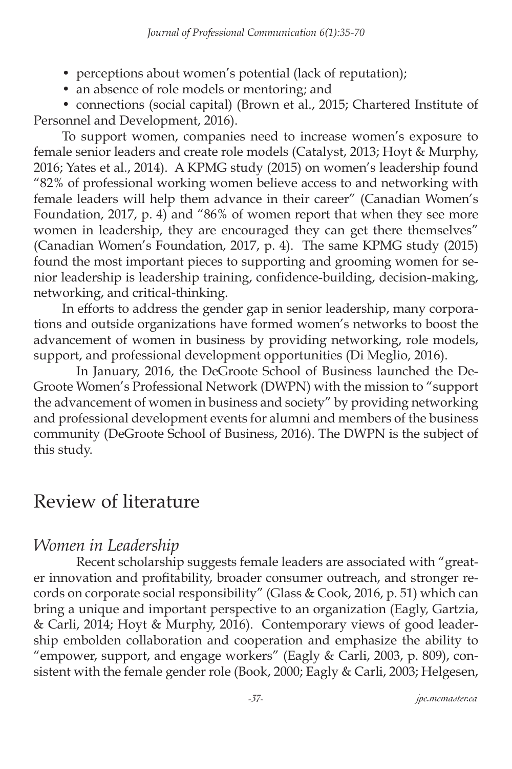- perceptions about women's potential (lack of reputation);
- an absence of role models or mentoring; and

• connections (social capital) (Brown et al., 2015; Chartered Institute of Personnel and Development, 2016).

To support women, companies need to increase women's exposure to female senior leaders and create role models (Catalyst, 2013; Hoyt & Murphy, 2016; Yates et al., 2014). A KPMG study (2015) on women's leadership found "82% of professional working women believe access to and networking with female leaders will help them advance in their career" (Canadian Women's Foundation, 2017, p. 4) and "86% of women report that when they see more women in leadership, they are encouraged they can get there themselves" (Canadian Women's Foundation, 2017, p. 4). The same KPMG study (2015) found the most important pieces to supporting and grooming women for senior leadership is leadership training, confidence-building, decision-making, networking, and critical-thinking.

In efforts to address the gender gap in senior leadership, many corporations and outside organizations have formed women's networks to boost the advancement of women in business by providing networking, role models, support, and professional development opportunities (Di Meglio, 2016).

In January, 2016, the DeGroote School of Business launched the De-Groote Women's Professional Network (DWPN) with the mission to "support the advancement of women in business and society" by providing networking and professional development events for alumni and members of the business community (DeGroote School of Business, 2016). The DWPN is the subject of this study.

## Review of literature

### *Women in Leadership*

Recent scholarship suggests female leaders are associated with "greater innovation and profitability, broader consumer outreach, and stronger records on corporate social responsibility" (Glass & Cook, 2016, p. 51) which can bring a unique and important perspective to an organization (Eagly, Gartzia, & Carli, 2014; Hoyt & Murphy, 2016). Contemporary views of good leadership embolden collaboration and cooperation and emphasize the ability to "empower, support, and engage workers" (Eagly & Carli, 2003, p. 809), consistent with the female gender role (Book, 2000; Eagly & Carli, 2003; Helgesen,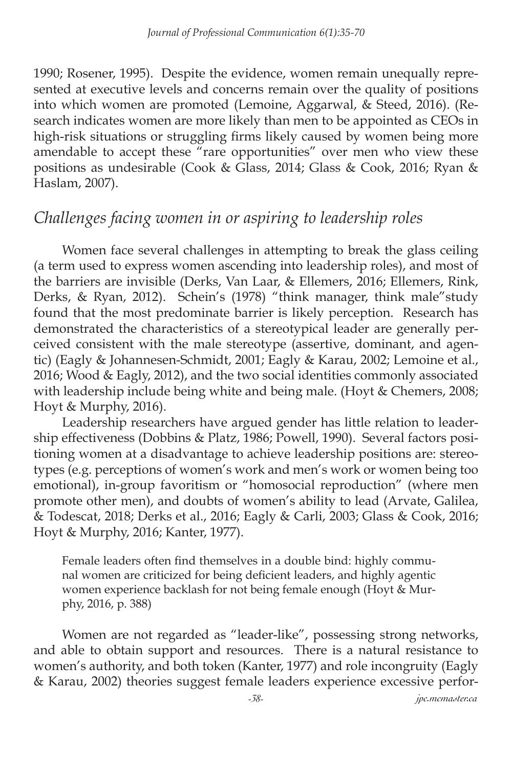1990; Rosener, 1995). Despite the evidence, women remain unequally represented at executive levels and concerns remain over the quality of positions into which women are promoted (Lemoine, Aggarwal, & Steed, 2016). (Research indicates women are more likely than men to be appointed as CEOs in high-risk situations or struggling firms likely caused by women being more amendable to accept these "rare opportunities" over men who view these positions as undesirable (Cook & Glass, 2014; Glass & Cook, 2016; Ryan & Haslam, 2007).

## *Challenges facing women in or aspiring to leadership roles*

Women face several challenges in attempting to break the glass ceiling (a term used to express women ascending into leadership roles), and most of the barriers are invisible (Derks, Van Laar, & Ellemers, 2016; Ellemers, Rink, Derks, & Ryan, 2012). Schein's (1978) "think manager, think male"study found that the most predominate barrier is likely perception. Research has demonstrated the characteristics of a stereotypical leader are generally perceived consistent with the male stereotype (assertive, dominant, and agentic) (Eagly & Johannesen-Schmidt, 2001; Eagly & Karau, 2002; Lemoine et al., 2016; Wood & Eagly, 2012), and the two social identities commonly associated with leadership include being white and being male. (Hoyt & Chemers, 2008; Hoyt & Murphy, 2016).

Leadership researchers have argued gender has little relation to leadership effectiveness (Dobbins & Platz, 1986; Powell, 1990). Several factors positioning women at a disadvantage to achieve leadership positions are: stereotypes (e.g. perceptions of women's work and men's work or women being too emotional), in-group favoritism or "homosocial reproduction" (where men promote other men), and doubts of women's ability to lead (Arvate, Galilea, & Todescat, 2018; Derks et al., 2016; Eagly & Carli, 2003; Glass & Cook, 2016; Hoyt & Murphy, 2016; Kanter, 1977).

Female leaders often find themselves in a double bind: highly communal women are criticized for being deficient leaders, and highly agentic women experience backlash for not being female enough (Hoyt & Murphy, 2016, p. 388)

Women are not regarded as "leader-like", possessing strong networks, and able to obtain support and resources. There is a natural resistance to women's authority, and both token (Kanter, 1977) and role incongruity (Eagly & Karau, 2002) theories suggest female leaders experience excessive perfor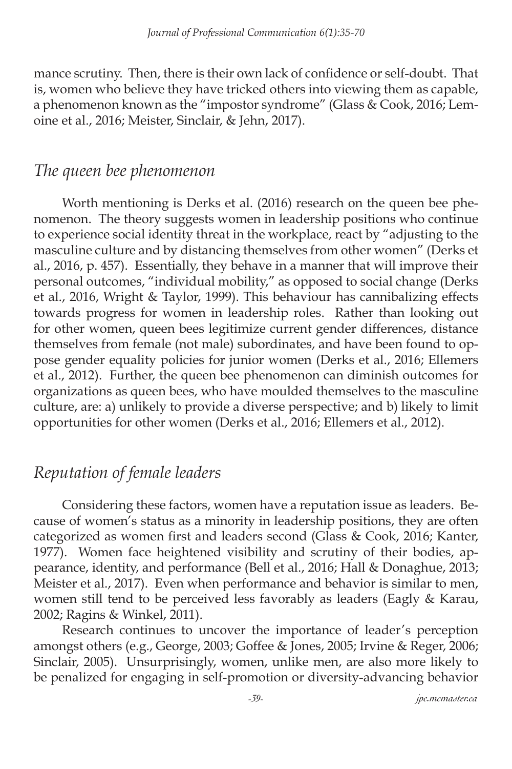mance scrutiny. Then, there is their own lack of confidence or self-doubt. That is, women who believe they have tricked others into viewing them as capable, a phenomenon known as the "impostor syndrome" (Glass & Cook, 2016; Lemoine et al., 2016; Meister, Sinclair, & Jehn, 2017).

### *The queen bee phenomenon*

Worth mentioning is Derks et al. (2016) research on the queen bee phenomenon. The theory suggests women in leadership positions who continue to experience social identity threat in the workplace, react by "adjusting to the masculine culture and by distancing themselves from other women" (Derks et al., 2016, p. 457). Essentially, they behave in a manner that will improve their personal outcomes, "individual mobility," as opposed to social change (Derks et al., 2016, Wright & Taylor, 1999). This behaviour has cannibalizing effects towards progress for women in leadership roles. Rather than looking out for other women, queen bees legitimize current gender differences, distance themselves from female (not male) subordinates, and have been found to oppose gender equality policies for junior women (Derks et al., 2016; Ellemers et al., 2012). Further, the queen bee phenomenon can diminish outcomes for organizations as queen bees, who have moulded themselves to the masculine culture, are: a) unlikely to provide a diverse perspective; and b) likely to limit opportunities for other women (Derks et al., 2016; Ellemers et al., 2012).

## *Reputation of female leaders*

Considering these factors, women have a reputation issue as leaders. Because of women's status as a minority in leadership positions, they are often categorized as women first and leaders second (Glass & Cook, 2016; Kanter, 1977). Women face heightened visibility and scrutiny of their bodies, appearance, identity, and performance (Bell et al., 2016; Hall & Donaghue, 2013; Meister et al., 2017). Even when performance and behavior is similar to men, women still tend to be perceived less favorably as leaders (Eagly & Karau, 2002; Ragins & Winkel, 2011).

Research continues to uncover the importance of leader's perception amongst others (e.g., George, 2003; Goffee & Jones, 2005; Irvine & Reger, 2006; Sinclair, 2005). Unsurprisingly, women, unlike men, are also more likely to be penalized for engaging in self-promotion or diversity-advancing behavior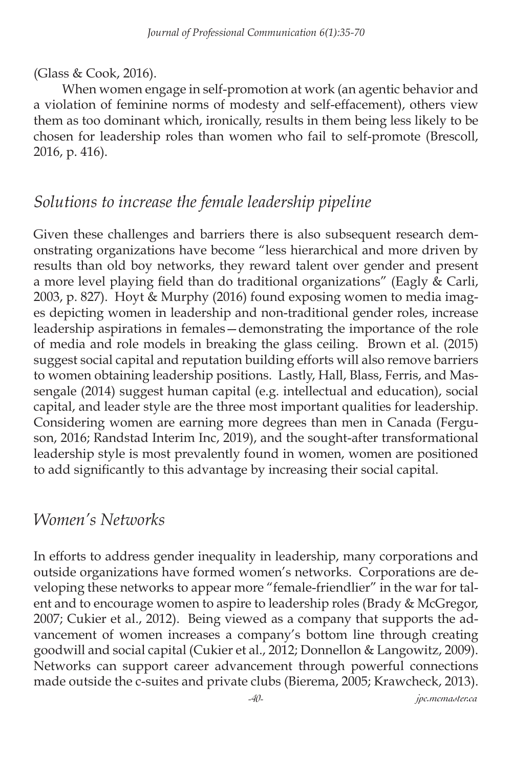#### (Glass & Cook, 2016).

When women engage in self-promotion at work (an agentic behavior and a violation of feminine norms of modesty and self-effacement), others view them as too dominant which, ironically, results in them being less likely to be chosen for leadership roles than women who fail to self-promote (Brescoll, 2016, p. 416).

### *Solutions to increase the female leadership pipeline*

Given these challenges and barriers there is also subsequent research demonstrating organizations have become "less hierarchical and more driven by results than old boy networks, they reward talent over gender and present a more level playing field than do traditional organizations" (Eagly & Carli, 2003, p. 827). Hoyt & Murphy (2016) found exposing women to media images depicting women in leadership and non-traditional gender roles, increase leadership aspirations in females—demonstrating the importance of the role of media and role models in breaking the glass ceiling. Brown et al. (2015) suggest social capital and reputation building efforts will also remove barriers to women obtaining leadership positions. Lastly, Hall, Blass, Ferris, and Massengale (2014) suggest human capital (e.g. intellectual and education), social capital, and leader style are the three most important qualities for leadership. Considering women are earning more degrees than men in Canada (Ferguson, 2016; Randstad Interim Inc, 2019), and the sought-after transformational leadership style is most prevalently found in women, women are positioned to add significantly to this advantage by increasing their social capital.

### *Women's Networks*

In efforts to address gender inequality in leadership, many corporations and outside organizations have formed women's networks. Corporations are developing these networks to appear more "female-friendlier" in the war for talent and to encourage women to aspire to leadership roles (Brady & McGregor, 2007; Cukier et al., 2012). Being viewed as a company that supports the advancement of women increases a company's bottom line through creating goodwill and social capital (Cukier et al., 2012; Donnellon & Langowitz, 2009). Networks can support career advancement through powerful connections made outside the c-suites and private clubs (Bierema, 2005; Krawcheck, 2013).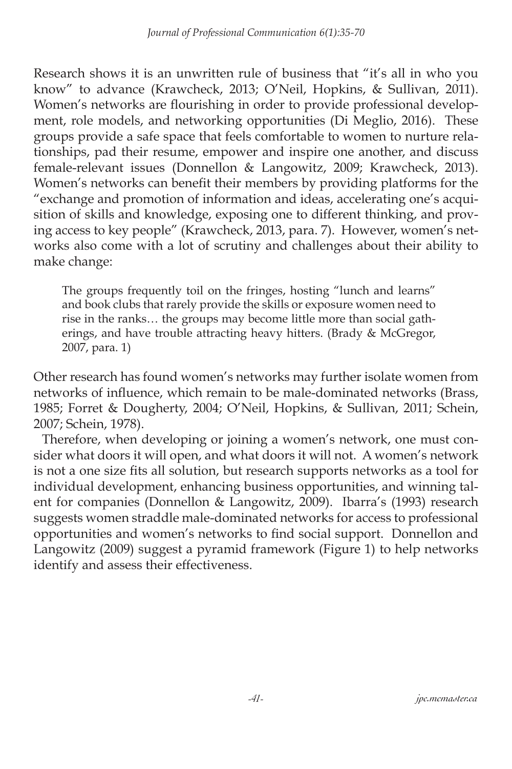Research shows it is an unwritten rule of business that "it's all in who you know" to advance (Krawcheck, 2013; O'Neil, Hopkins, & Sullivan, 2011). Women's networks are flourishing in order to provide professional development, role models, and networking opportunities (Di Meglio, 2016). These groups provide a safe space that feels comfortable to women to nurture relationships, pad their resume, empower and inspire one another, and discuss female-relevant issues (Donnellon & Langowitz, 2009; Krawcheck, 2013). Women's networks can benefit their members by providing platforms for the "exchange and promotion of information and ideas, accelerating one's acquisition of skills and knowledge, exposing one to different thinking, and proving access to key people" (Krawcheck, 2013, para. 7). However, women's networks also come with a lot of scrutiny and challenges about their ability to make change:

The groups frequently toil on the fringes, hosting "lunch and learns" and book clubs that rarely provide the skills or exposure women need to rise in the ranks… the groups may become little more than social gatherings, and have trouble attracting heavy hitters. (Brady & McGregor, 2007, para. 1)

Other research has found women's networks may further isolate women from networks of influence, which remain to be male-dominated networks (Brass, 1985; Forret & Dougherty, 2004; O'Neil, Hopkins, & Sullivan, 2011; Schein, 2007; Schein, 1978).

 Therefore, when developing or joining a women's network, one must consider what doors it will open, and what doors it will not. A women's network is not a one size fits all solution, but research supports networks as a tool for individual development, enhancing business opportunities, and winning talent for companies (Donnellon & Langowitz, 2009). Ibarra's (1993) research suggests women straddle male-dominated networks for access to professional opportunities and women's networks to find social support. Donnellon and Langowitz (2009) suggest a pyramid framework (Figure 1) to help networks identify and assess their effectiveness.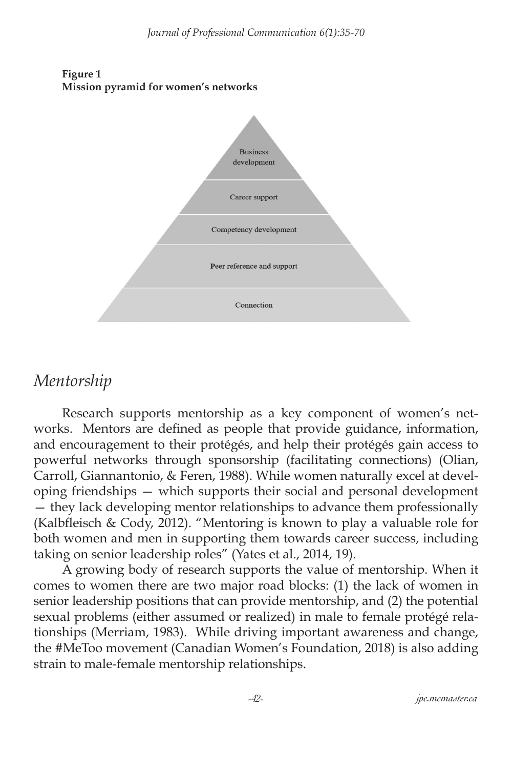



## *Mentorship*

Research supports mentorship as a key component of women's networks. Mentors are defined as people that provide guidance, information, and encouragement to their protégés, and help their protégés gain access to powerful networks through sponsorship (facilitating connections) (Olian, Carroll, Giannantonio, & Feren, 1988). While women naturally excel at developing friendships — which supports their social and personal development — they lack developing mentor relationships to advance them professionally (Kalbfleisch & Cody, 2012). "Mentoring is known to play a valuable role for both women and men in supporting them towards career success, including taking on senior leadership roles" (Yates et al., 2014, 19).

A growing body of research supports the value of mentorship. When it comes to women there are two major road blocks: (1) the lack of women in senior leadership positions that can provide mentorship, and (2) the potential sexual problems (either assumed or realized) in male to female protégé relationships (Merriam, 1983). While driving important awareness and change, the #MeToo movement (Canadian Women's Foundation, 2018) is also adding strain to male-female mentorship relationships.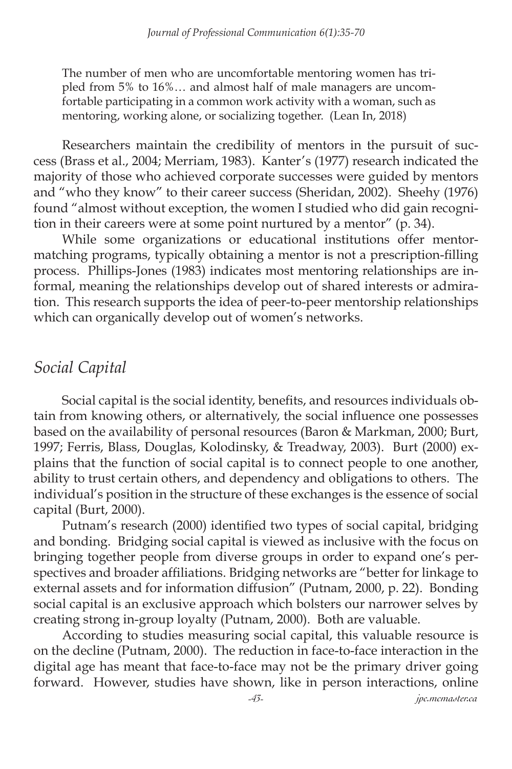The number of men who are uncomfortable mentoring women has tripled from 5% to 16%… and almost half of male managers are uncomfortable participating in a common work activity with a woman, such as mentoring, working alone, or socializing together. (Lean In, 2018)

Researchers maintain the credibility of mentors in the pursuit of success (Brass et al., 2004; Merriam, 1983). Kanter's (1977) research indicated the majority of those who achieved corporate successes were guided by mentors and "who they know" to their career success (Sheridan, 2002). Sheehy (1976) found "almost without exception, the women I studied who did gain recognition in their careers were at some point nurtured by a mentor" (p. 34).

While some organizations or educational institutions offer mentormatching programs, typically obtaining a mentor is not a prescription-filling process. Phillips-Jones (1983) indicates most mentoring relationships are informal, meaning the relationships develop out of shared interests or admiration. This research supports the idea of peer-to-peer mentorship relationships which can organically develop out of women's networks.

### *Social Capital*

Social capital is the social identity, benefits, and resources individuals obtain from knowing others, or alternatively, the social influence one possesses based on the availability of personal resources (Baron & Markman, 2000; Burt, 1997; Ferris, Blass, Douglas, Kolodinsky, & Treadway, 2003). Burt (2000) explains that the function of social capital is to connect people to one another, ability to trust certain others, and dependency and obligations to others. The individual's position in the structure of these exchanges is the essence of social capital (Burt, 2000).

Putnam's research (2000) identified two types of social capital, bridging and bonding. Bridging social capital is viewed as inclusive with the focus on bringing together people from diverse groups in order to expand one's perspectives and broader affiliations. Bridging networks are "better for linkage to external assets and for information diffusion" (Putnam, 2000, p. 22). Bonding social capital is an exclusive approach which bolsters our narrower selves by creating strong in-group loyalty (Putnam, 2000). Both are valuable.

According to studies measuring social capital, this valuable resource is on the decline (Putnam, 2000). The reduction in face-to-face interaction in the digital age has meant that face-to-face may not be the primary driver going forward. However, studies have shown, like in person interactions, online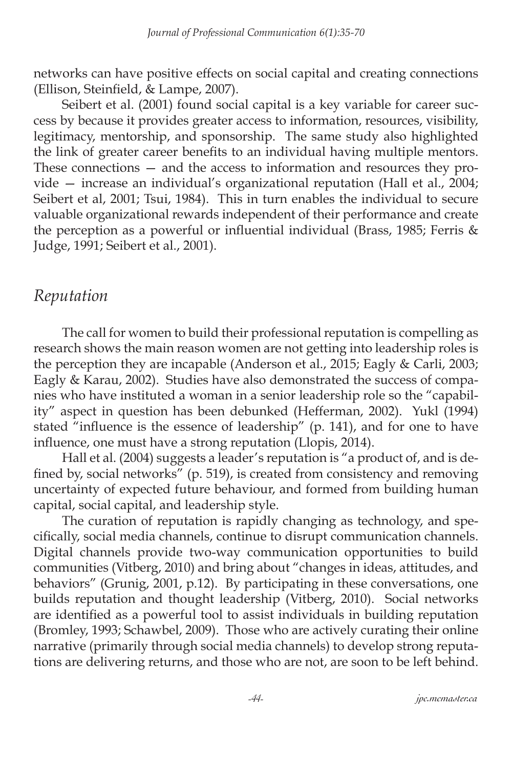networks can have positive effects on social capital and creating connections (Ellison, Steinfield, & Lampe, 2007).

Seibert et al. (2001) found social capital is a key variable for career success by because it provides greater access to information, resources, visibility, legitimacy, mentorship, and sponsorship. The same study also highlighted the link of greater career benefits to an individual having multiple mentors. These connections — and the access to information and resources they provide — increase an individual's organizational reputation (Hall et al., 2004; Seibert et al, 2001; Tsui, 1984). This in turn enables the individual to secure valuable organizational rewards independent of their performance and create the perception as a powerful or influential individual (Brass, 1985; Ferris & Judge, 1991; Seibert et al., 2001).

### *Reputation*

The call for women to build their professional reputation is compelling as research shows the main reason women are not getting into leadership roles is the perception they are incapable (Anderson et al., 2015; Eagly & Carli, 2003; Eagly & Karau, 2002). Studies have also demonstrated the success of companies who have instituted a woman in a senior leadership role so the "capability" aspect in question has been debunked (Hefferman, 2002). Yukl (1994) stated "influence is the essence of leadership" (p. 141), and for one to have influence, one must have a strong reputation (Llopis, 2014).

Hall et al. (2004) suggests a leader's reputation is "a product of, and is defined by, social networks" (p. 519), is created from consistency and removing uncertainty of expected future behaviour, and formed from building human capital, social capital, and leadership style.

The curation of reputation is rapidly changing as technology, and specifically, social media channels, continue to disrupt communication channels. Digital channels provide two-way communication opportunities to build communities (Vitberg, 2010) and bring about "changes in ideas, attitudes, and behaviors" (Grunig, 2001, p.12). By participating in these conversations, one builds reputation and thought leadership (Vitberg, 2010). Social networks are identified as a powerful tool to assist individuals in building reputation (Bromley, 1993; Schawbel, 2009). Those who are actively curating their online narrative (primarily through social media channels) to develop strong reputations are delivering returns, and those who are not, are soon to be left behind.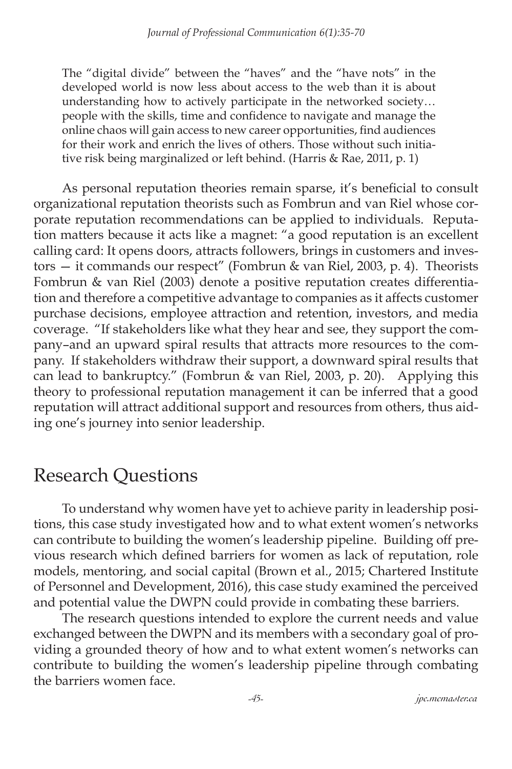The "digital divide" between the "haves" and the "have nots" in the developed world is now less about access to the web than it is about understanding how to actively participate in the networked society… people with the skills, time and confidence to navigate and manage the online chaos will gain access to new career opportunities, find audiences for their work and enrich the lives of others. Those without such initiative risk being marginalized or left behind. (Harris & Rae, 2011, p. 1)

As personal reputation theories remain sparse, it's beneficial to consult organizational reputation theorists such as Fombrun and van Riel whose corporate reputation recommendations can be applied to individuals. Reputation matters because it acts like a magnet: "a good reputation is an excellent calling card: It opens doors, attracts followers, brings in customers and investors — it commands our respect" (Fombrun & van Riel, 2003, p. 4). Theorists Fombrun & van Riel (2003) denote a positive reputation creates differentiation and therefore a competitive advantage to companies as it affects customer purchase decisions, employee attraction and retention, investors, and media coverage. "If stakeholders like what they hear and see, they support the company–and an upward spiral results that attracts more resources to the company. If stakeholders withdraw their support, a downward spiral results that can lead to bankruptcy." (Fombrun & van Riel, 2003, p. 20). Applying this theory to professional reputation management it can be inferred that a good reputation will attract additional support and resources from others, thus aiding one's journey into senior leadership.

## Research Questions

To understand why women have yet to achieve parity in leadership positions, this case study investigated how and to what extent women's networks can contribute to building the women's leadership pipeline. Building off previous research which defined barriers for women as lack of reputation, role models, mentoring, and social capital (Brown et al., 2015; Chartered Institute of Personnel and Development, 2016), this case study examined the perceived and potential value the DWPN could provide in combating these barriers.

The research questions intended to explore the current needs and value exchanged between the DWPN and its members with a secondary goal of providing a grounded theory of how and to what extent women's networks can contribute to building the women's leadership pipeline through combating the barriers women face.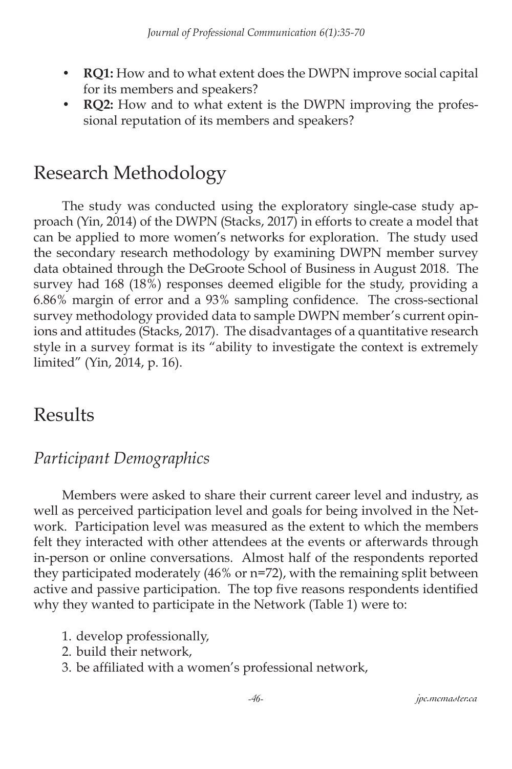- **• RQ1:** How and to what extent does the DWPN improve social capital for its members and speakers?
- **• RQ2:** How and to what extent is the DWPN improving the professional reputation of its members and speakers?

# Research Methodology

The study was conducted using the exploratory single-case study approach (Yin, 2014) of the DWPN (Stacks, 2017) in efforts to create a model that can be applied to more women's networks for exploration. The study used the secondary research methodology by examining DWPN member survey data obtained through the DeGroote School of Business in August 2018. The survey had 168 (18%) responses deemed eligible for the study, providing a 6.86% margin of error and a 93% sampling confidence. The cross-sectional survey methodology provided data to sample DWPN member's current opinions and attitudes (Stacks, 2017). The disadvantages of a quantitative research style in a survey format is its "ability to investigate the context is extremely limited" (Yin, 2014, p. 16).

## Results

## *Participant Demographics*

Members were asked to share their current career level and industry, as well as perceived participation level and goals for being involved in the Network. Participation level was measured as the extent to which the members felt they interacted with other attendees at the events or afterwards through in-person or online conversations. Almost half of the respondents reported they participated moderately (46% or n=72), with the remaining split between active and passive participation. The top five reasons respondents identified why they wanted to participate in the Network (Table 1) were to:

- 1. develop professionally,
- 2. build their network,
- 3. be affiliated with a women's professional network,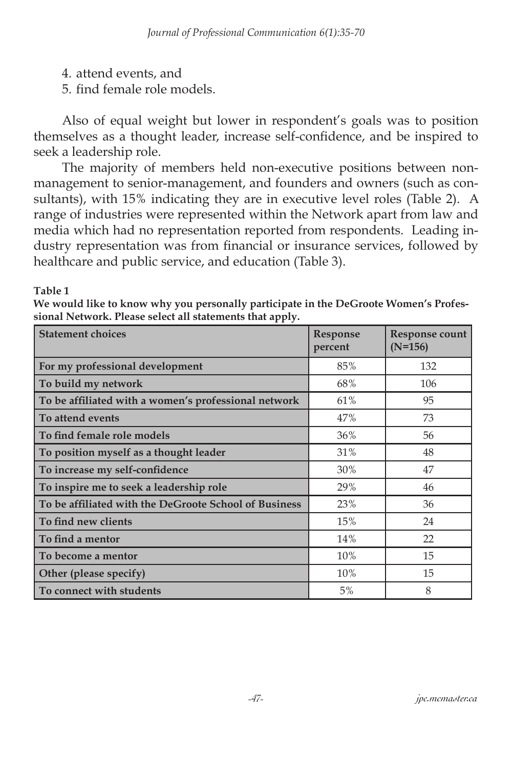- 4. attend events, and
- 5. find female role models.

Also of equal weight but lower in respondent's goals was to position themselves as a thought leader, increase self-confidence, and be inspired to seek a leadership role.

The majority of members held non-executive positions between nonmanagement to senior-management, and founders and owners (such as consultants), with 15% indicating they are in executive level roles (Table 2). A range of industries were represented within the Network apart from law and media which had no representation reported from respondents. Leading industry representation was from financial or insurance services, followed by healthcare and public service, and education (Table 3).

#### **Table 1**

**We would like to know why you personally participate in the DeGroote Women's Professional Network. Please select all statements that apply.**

| <b>Statement choices</b>                              | <b>Response</b><br>percent | Response count<br>$(N=156)$ |
|-------------------------------------------------------|----------------------------|-----------------------------|
| For my professional development                       | 85%                        | 132                         |
| To build my network                                   | 68%                        | 106                         |
| To be affiliated with a women's professional network  | 61%                        | 95                          |
| To attend events                                      | 47%                        | 73                          |
| To find female role models                            | 36%                        | 56                          |
| To position myself as a thought leader                | 31%                        | 48                          |
| To increase my self-confidence                        | 30%                        | 47                          |
| To inspire me to seek a leadership role               | 29%                        | 46                          |
| To be affiliated with the DeGroote School of Business | 23%                        | 36                          |
| To find new clients                                   | 15%                        | 24                          |
| To find a mentor                                      | 14%                        | 22                          |
| To become a mentor                                    | 10%                        | 15                          |
| Other (please specify)                                | 10%                        | 15                          |
| To connect with students                              | 5%                         | 8                           |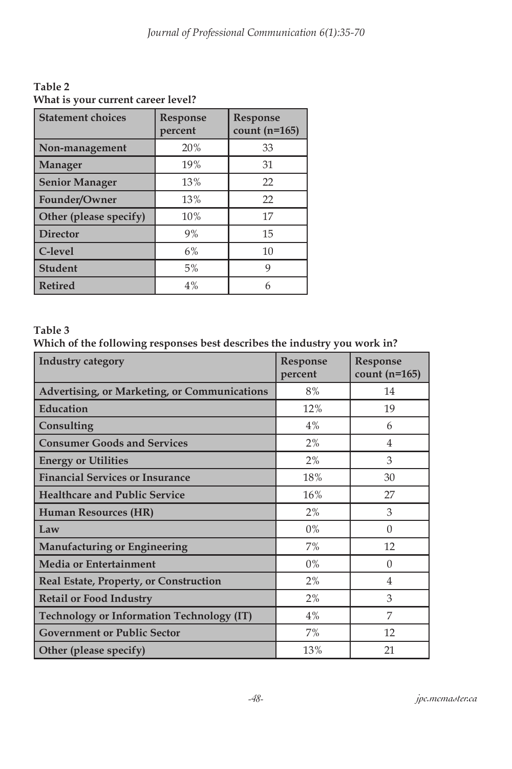**Table 2 What is your current career level?**

| <b>Statement choices</b> | <b>Response</b><br>percent | Response<br>count $(n=165)$ |
|--------------------------|----------------------------|-----------------------------|
| Non-management           | 20%                        | 33                          |
| <b>Manager</b>           | 19%                        | 31                          |
| <b>Senior Manager</b>    | 13%                        | 22                          |
| Founder/Owner            | 13%                        | 22                          |
| Other (please specify)   | 10%                        | 17                          |
| <b>Director</b>          | 9%                         | 15                          |
| C-level                  | 6%                         | 10                          |
| <b>Student</b>           | 5%                         | 9                           |
| <b>Retired</b>           | 4%                         | 6                           |

#### **Table 3**

**Which of the following responses best describes the industry you work in?**

| <b>Industry category</b>                            | <b>Response</b><br>percent | <b>Response</b><br>count $(n=165)$ |
|-----------------------------------------------------|----------------------------|------------------------------------|
| <b>Advertising, or Marketing, or Communications</b> | 8%                         | 14                                 |
| Education                                           | 12%                        | 19                                 |
| Consulting                                          | 4%                         | 6                                  |
| <b>Consumer Goods and Services</b>                  | 2%                         | $\overline{4}$                     |
| <b>Energy or Utilities</b>                          | 2%                         | 3                                  |
| <b>Financial Services or Insurance</b>              | 18%                        | 30                                 |
| <b>Healthcare and Public Service</b>                | 16%                        | 27                                 |
| Human Resources (HR)                                | 2%                         | 3                                  |
| Law                                                 | $0\%$                      | $\Omega$                           |
| <b>Manufacturing or Engineering</b>                 | 7%                         | 12                                 |
| <b>Media or Entertainment</b>                       | $0\%$                      | $\Omega$                           |
| Real Estate, Property, or Construction              | 2%                         | $\overline{4}$                     |
| <b>Retail or Food Industry</b>                      | 2%                         | 3                                  |
| <b>Technology or Information Technology (IT)</b>    | 4%                         | 7                                  |
| <b>Government or Public Sector</b>                  | 7%                         | 12                                 |
| Other (please specify)                              | 13%                        | 21                                 |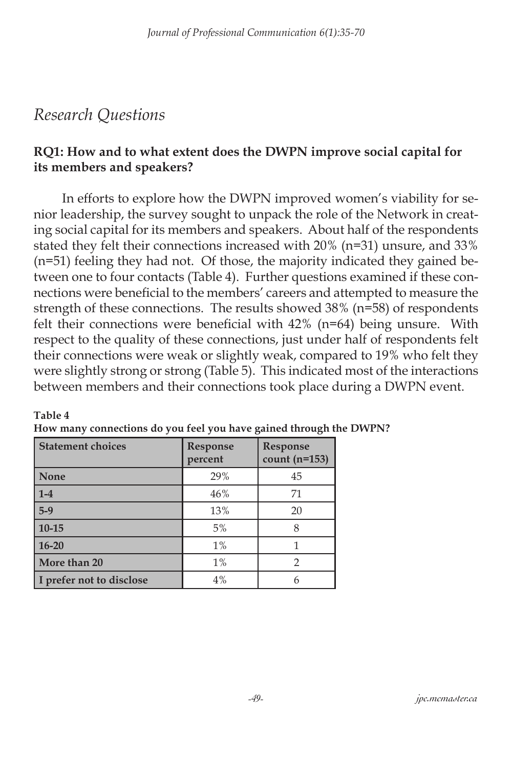## *Research Questions*

**Table 4**

### **RQ1: How and to what extent does the DWPN improve social capital for its members and speakers?**

In efforts to explore how the DWPN improved women's viability for senior leadership, the survey sought to unpack the role of the Network in creating social capital for its members and speakers. About half of the respondents stated they felt their connections increased with 20% (n=31) unsure, and 33% (n=51) feeling they had not. Of those, the majority indicated they gained between one to four contacts (Table 4). Further questions examined if these connections were beneficial to the members' careers and attempted to measure the strength of these connections. The results showed 38% (n=58) of respondents felt their connections were beneficial with 42% (n=64) being unsure. With respect to the quality of these connections, just under half of respondents felt their connections were weak or slightly weak, compared to 19% who felt they were slightly strong or strong (Table 5). This indicated most of the interactions between members and their connections took place during a DWPN event.

| <b>Statement choices</b> | <b>Response</b><br>percent | Response<br>count $(n=153)$ |
|--------------------------|----------------------------|-----------------------------|
| <b>None</b>              | 29%                        | 45                          |
| $1-4$                    | 46%                        | 71                          |
| $5-9$                    | 13%                        | 20                          |
| $10 - 15$                | 5%                         |                             |
| $16 - 20$                | $1\%$                      |                             |
| More than 20             | $1\%$                      |                             |
| I prefer not to disclose | 4%                         |                             |

| How many connections do you feel you have gained through the DWPN? |  |  |  |
|--------------------------------------------------------------------|--|--|--|
|--------------------------------------------------------------------|--|--|--|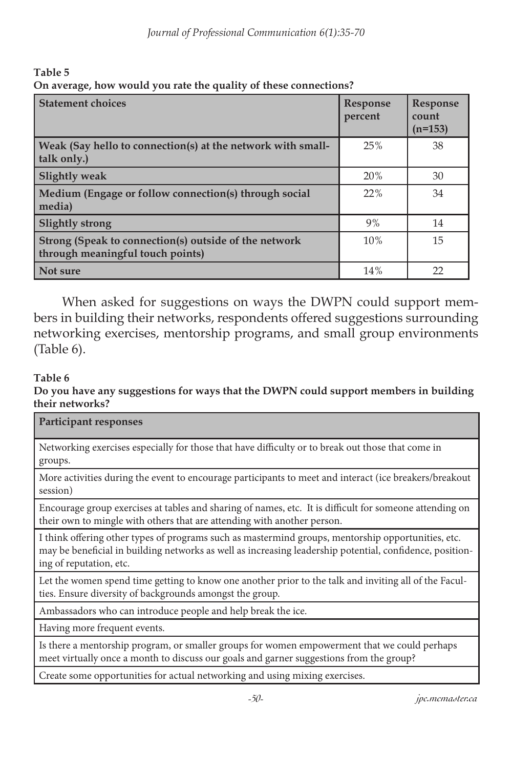**Table 5 On average, how would you rate the quality of these connections?**

| <b>Statement choices</b>                                                                  | <b>Response</b><br>percent | <b>Response</b><br>count<br>$(n=153)$ |
|-------------------------------------------------------------------------------------------|----------------------------|---------------------------------------|
| Weak (Say hello to connection(s) at the network with small-<br>talk only.)                | 25%                        | 38                                    |
| <b>Slightly weak</b>                                                                      | 20%                        | 30                                    |
| Medium (Engage or follow connection(s) through social<br>media)                           | 22%                        | 34                                    |
| <b>Slightly strong</b>                                                                    | 9%                         | 14                                    |
| Strong (Speak to connection(s) outside of the network<br>through meaningful touch points) | 10%                        | 15                                    |
| Not sure                                                                                  | 14%                        | 22                                    |

When asked for suggestions on ways the DWPN could support members in building their networks, respondents offered suggestions surrounding networking exercises, mentorship programs, and small group environments (Table 6).

#### **Table 6**

**Do you have any suggestions for ways that the DWPN could support members in building their networks?**

| Participant responses                                                                                                                                                                                                                     |
|-------------------------------------------------------------------------------------------------------------------------------------------------------------------------------------------------------------------------------------------|
| Networking exercises especially for those that have difficulty or to break out those that come in<br>groups.                                                                                                                              |
| More activities during the event to encourage participants to meet and interact (ice breakers/breakout<br>session)                                                                                                                        |
| Encourage group exercises at tables and sharing of names, etc. It is difficult for someone attending on<br>their own to mingle with others that are attending with another person.                                                        |
| I think offering other types of programs such as mastermind groups, mentorship opportunities, etc.<br>may be beneficial in building networks as well as increasing leadership potential, confidence, position-<br>ing of reputation, etc. |
| Let the women spend time getting to know one another prior to the talk and inviting all of the Facul-<br>ties. Ensure diversity of backgrounds amongst the group.                                                                         |

Ambassadors who can introduce people and help break the ice.

Having more frequent events.

Is there a mentorship program, or smaller groups for women empowerment that we could perhaps meet virtually once a month to discuss our goals and garner suggestions from the group?

Create some opportunities for actual networking and using mixing exercises.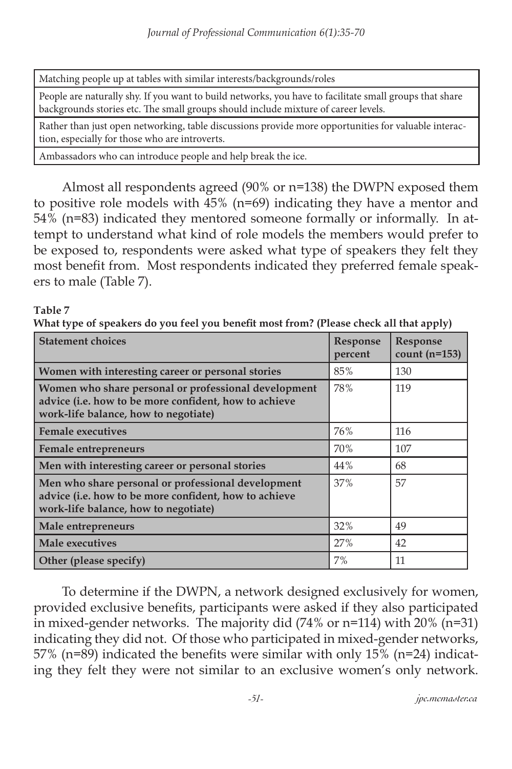Matching people up at tables with similar interests/backgrounds/roles

People are naturally shy. If you want to build networks, you have to facilitate small groups that share backgrounds stories etc. The small groups should include mixture of career levels.

Rather than just open networking, table discussions provide more opportunities for valuable interaction, especially for those who are introverts.

Ambassadors who can introduce people and help break the ice.

Almost all respondents agreed (90% or n=138) the DWPN exposed them to positive role models with 45% (n=69) indicating they have a mentor and 54% (n=83) indicated they mentored someone formally or informally. In attempt to understand what kind of role models the members would prefer to be exposed to, respondents were asked what type of speakers they felt they most benefit from. Most respondents indicated they preferred female speakers to male (Table 7).

#### **Table 7**

**What type of speakers do you feel you benefit most from? (Please check all that apply)**

| <b>Statement choices</b>                                                                                                                              | Response<br>percent | <b>Response</b><br>count $(n=153)$ |
|-------------------------------------------------------------------------------------------------------------------------------------------------------|---------------------|------------------------------------|
| Women with interesting career or personal stories                                                                                                     | 85%                 | 130                                |
| Women who share personal or professional development<br>advice (i.e. how to be more confident, how to achieve<br>work-life balance, how to negotiate) | 78%                 | 119                                |
| <b>Female executives</b>                                                                                                                              | 76%                 | 116                                |
| <b>Female entrepreneurs</b>                                                                                                                           | 70%                 | 107                                |
| Men with interesting career or personal stories                                                                                                       | 44%                 | 68                                 |
| Men who share personal or professional development<br>advice (i.e. how to be more confident, how to achieve<br>work-life balance, how to negotiate)   | 37%                 | 57                                 |
| Male entrepreneurs                                                                                                                                    | 32%                 | 49                                 |
| <b>Male executives</b>                                                                                                                                | 27%                 | 42                                 |
| Other (please specify)                                                                                                                                | 7%                  | 11                                 |

To determine if the DWPN, a network designed exclusively for women, provided exclusive benefits, participants were asked if they also participated in mixed-gender networks. The majority did  $(74\% \text{ or } n=114)$  with 20%  $(n=31)$ indicating they did not. Of those who participated in mixed-gender networks, 57% (n=89) indicated the benefits were similar with only 15% (n=24) indicating they felt they were not similar to an exclusive women's only network.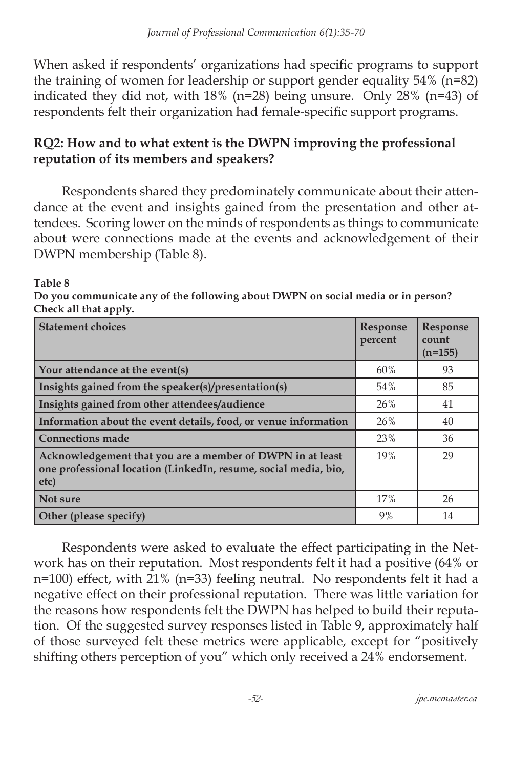When asked if respondents' organizations had specific programs to support the training of women for leadership or support gender equality 54% (n=82) indicated they did not, with 18% (n=28) being unsure. Only 28% (n=43) of respondents felt their organization had female-specific support programs.

#### **RQ2: How and to what extent is the DWPN improving the professional reputation of its members and speakers?**

Respondents shared they predominately communicate about their attendance at the event and insights gained from the presentation and other attendees. Scoring lower on the minds of respondents as things to communicate about were connections made at the events and acknowledgement of their DWPN membership (Table 8).

#### **Table 8**

**Do you communicate any of the following about DWPN on social media or in person? Check all that apply.**

| <b>Statement choices</b>                                                                                                             | <b>Response</b><br>percent | <b>Response</b><br>count<br>$(n=155)$ |
|--------------------------------------------------------------------------------------------------------------------------------------|----------------------------|---------------------------------------|
| Your attendance at the event(s)                                                                                                      | 60%                        | 93                                    |
| Insights gained from the speaker(s)/presentation(s)                                                                                  | 54%                        | 85                                    |
| Insights gained from other attendees/audience                                                                                        | 26%                        | 41                                    |
| Information about the event details, food, or venue information                                                                      | 26%                        | 40                                    |
| <b>Connections made</b>                                                                                                              | 23%                        | 36                                    |
| Acknowledgement that you are a member of DWPN in at least<br>one professional location (LinkedIn, resume, social media, bio,<br>etc) | 19%                        | 29                                    |
| Not sure                                                                                                                             | 17%                        | 26                                    |
| Other (please specify)                                                                                                               | 9%                         | 14                                    |

Respondents were asked to evaluate the effect participating in the Network has on their reputation. Most respondents felt it had a positive (64% or n=100) effect, with 21% (n=33) feeling neutral. No respondents felt it had a negative effect on their professional reputation. There was little variation for the reasons how respondents felt the DWPN has helped to build their reputation. Of the suggested survey responses listed in Table 9, approximately half of those surveyed felt these metrics were applicable, except for "positively shifting others perception of you" which only received a 24% endorsement.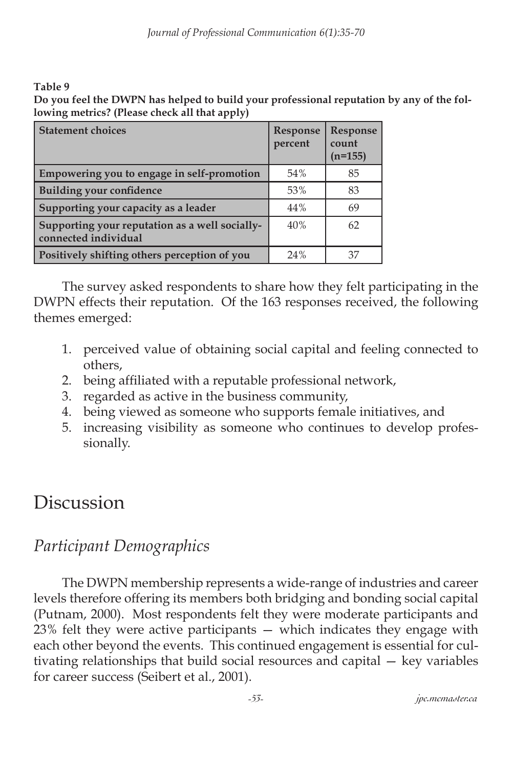**Table 9** 

**Do you feel the DWPN has helped to build your professional reputation by any of the following metrics? (Please check all that apply)**

| <b>Statement choices</b>                                               | Response<br>percent | <b>Response</b><br>count<br>$(n=155)$ |
|------------------------------------------------------------------------|---------------------|---------------------------------------|
| Empowering you to engage in self-promotion                             | 54%                 | 85                                    |
| <b>Building your confidence</b>                                        | 53%                 | 83                                    |
| Supporting your capacity as a leader                                   | 44%                 | 69                                    |
| Supporting your reputation as a well socially-<br>connected individual | 40%                 | 62                                    |
| Positively shifting others perception of you                           | 24%                 | 37                                    |

The survey asked respondents to share how they felt participating in the DWPN effects their reputation. Of the 163 responses received, the following themes emerged:

- 1. perceived value of obtaining social capital and feeling connected to others,
- 2. being affiliated with a reputable professional network,
- 3. regarded as active in the business community,
- 4. being viewed as someone who supports female initiatives, and
- 5. increasing visibility as someone who continues to develop professionally.

## **Discussion**

## *Participant Demographics*

The DWPN membership represents a wide-range of industries and career levels therefore offering its members both bridging and bonding social capital (Putnam, 2000). Most respondents felt they were moderate participants and 23% felt they were active participants — which indicates they engage with each other beyond the events. This continued engagement is essential for cultivating relationships that build social resources and capital — key variables for career success (Seibert et al., 2001).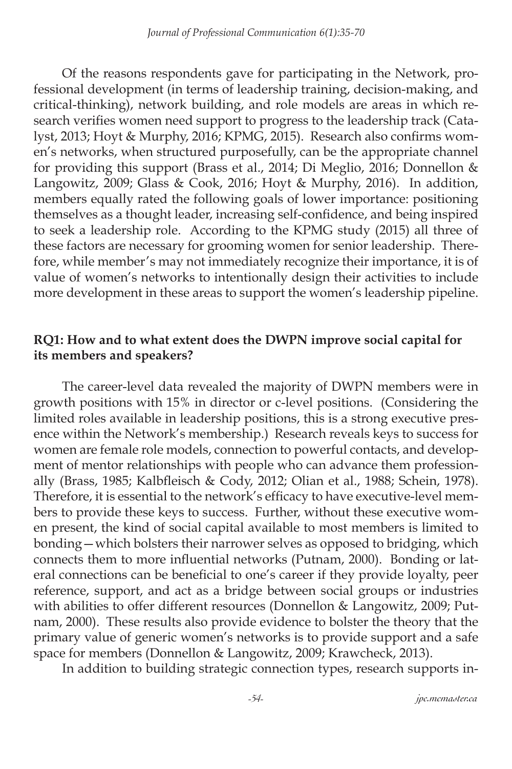Of the reasons respondents gave for participating in the Network, professional development (in terms of leadership training, decision-making, and critical-thinking), network building, and role models are areas in which research verifies women need support to progress to the leadership track (Catalyst, 2013; Hoyt & Murphy, 2016; KPMG, 2015). Research also confirms women's networks, when structured purposefully, can be the appropriate channel for providing this support (Brass et al., 2014; Di Meglio, 2016; Donnellon & Langowitz, 2009; Glass & Cook, 2016; Hoyt & Murphy, 2016). In addition, members equally rated the following goals of lower importance: positioning themselves as a thought leader, increasing self-confidence, and being inspired to seek a leadership role. According to the KPMG study (2015) all three of these factors are necessary for grooming women for senior leadership. Therefore, while member's may not immediately recognize their importance, it is of value of women's networks to intentionally design their activities to include more development in these areas to support the women's leadership pipeline.

#### **RQ1: How and to what extent does the DWPN improve social capital for its members and speakers?**

The career-level data revealed the majority of DWPN members were in growth positions with 15% in director or c-level positions. (Considering the limited roles available in leadership positions, this is a strong executive presence within the Network's membership.) Research reveals keys to success for women are female role models, connection to powerful contacts, and development of mentor relationships with people who can advance them professionally (Brass, 1985; Kalbfleisch & Cody, 2012; Olian et al., 1988; Schein, 1978). Therefore, it is essential to the network's efficacy to have executive-level members to provide these keys to success. Further, without these executive women present, the kind of social capital available to most members is limited to bonding—which bolsters their narrower selves as opposed to bridging, which connects them to more influential networks (Putnam, 2000). Bonding or lateral connections can be beneficial to one's career if they provide loyalty, peer reference, support, and act as a bridge between social groups or industries with abilities to offer different resources (Donnellon & Langowitz, 2009; Putnam, 2000). These results also provide evidence to bolster the theory that the primary value of generic women's networks is to provide support and a safe space for members (Donnellon & Langowitz, 2009; Krawcheck, 2013).

In addition to building strategic connection types, research supports in-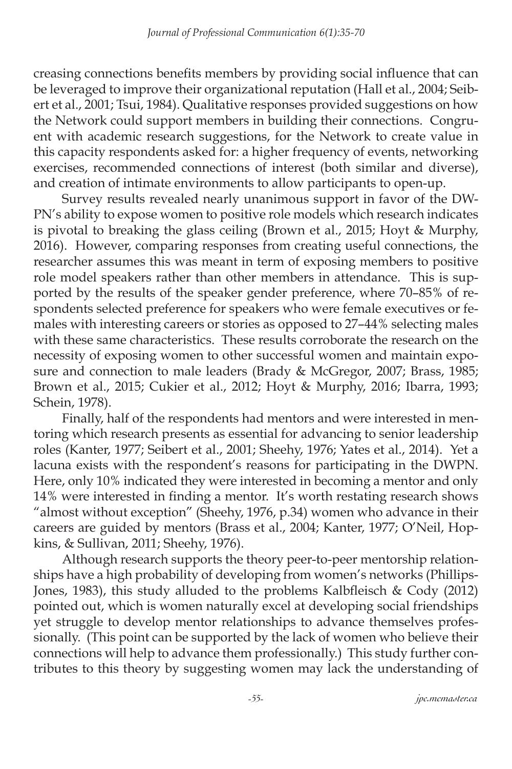creasing connections benefits members by providing social influence that can be leveraged to improve their organizational reputation (Hall et al., 2004; Seibert et al., 2001; Tsui, 1984). Qualitative responses provided suggestions on how the Network could support members in building their connections. Congruent with academic research suggestions, for the Network to create value in this capacity respondents asked for: a higher frequency of events, networking exercises, recommended connections of interest (both similar and diverse), and creation of intimate environments to allow participants to open-up.

Survey results revealed nearly unanimous support in favor of the DW-PN's ability to expose women to positive role models which research indicates is pivotal to breaking the glass ceiling (Brown et al., 2015; Hoyt & Murphy, 2016). However, comparing responses from creating useful connections, the researcher assumes this was meant in term of exposing members to positive role model speakers rather than other members in attendance. This is supported by the results of the speaker gender preference, where 70–85% of respondents selected preference for speakers who were female executives or females with interesting careers or stories as opposed to 27–44% selecting males with these same characteristics. These results corroborate the research on the necessity of exposing women to other successful women and maintain exposure and connection to male leaders (Brady & McGregor, 2007; Brass, 1985; Brown et al., 2015; Cukier et al., 2012; Hoyt & Murphy, 2016; Ibarra, 1993; Schein, 1978).

Finally, half of the respondents had mentors and were interested in mentoring which research presents as essential for advancing to senior leadership roles (Kanter, 1977; Seibert et al., 2001; Sheehy, 1976; Yates et al., 2014). Yet a lacuna exists with the respondent's reasons for participating in the DWPN. Here, only 10% indicated they were interested in becoming a mentor and only 14% were interested in finding a mentor. It's worth restating research shows "almost without exception" (Sheehy, 1976, p.34) women who advance in their careers are guided by mentors (Brass et al., 2004; Kanter, 1977; O'Neil, Hopkins, & Sullivan, 2011; Sheehy, 1976).

Although research supports the theory peer-to-peer mentorship relationships have a high probability of developing from women's networks (Phillips-Jones, 1983), this study alluded to the problems Kalbfleisch & Cody (2012) pointed out, which is women naturally excel at developing social friendships yet struggle to develop mentor relationships to advance themselves professionally. (This point can be supported by the lack of women who believe their connections will help to advance them professionally.) This study further contributes to this theory by suggesting women may lack the understanding of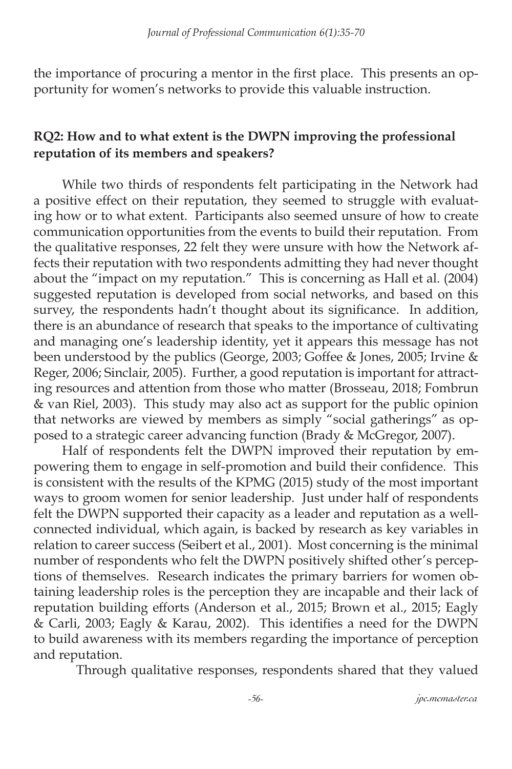the importance of procuring a mentor in the first place. This presents an opportunity for women's networks to provide this valuable instruction.

### **RQ2: How and to what extent is the DWPN improving the professional reputation of its members and speakers?**

While two thirds of respondents felt participating in the Network had a positive effect on their reputation, they seemed to struggle with evaluating how or to what extent. Participants also seemed unsure of how to create communication opportunities from the events to build their reputation. From the qualitative responses, 22 felt they were unsure with how the Network affects their reputation with two respondents admitting they had never thought about the "impact on my reputation." This is concerning as Hall et al. (2004) suggested reputation is developed from social networks, and based on this survey, the respondents hadn't thought about its significance. In addition, there is an abundance of research that speaks to the importance of cultivating and managing one's leadership identity, yet it appears this message has not been understood by the publics (George, 2003; Goffee & Jones, 2005; Irvine & Reger, 2006; Sinclair, 2005). Further, a good reputation is important for attracting resources and attention from those who matter (Brosseau, 2018; Fombrun & van Riel, 2003). This study may also act as support for the public opinion that networks are viewed by members as simply "social gatherings" as opposed to a strategic career advancing function (Brady & McGregor, 2007).

Half of respondents felt the DWPN improved their reputation by empowering them to engage in self-promotion and build their confidence. This is consistent with the results of the KPMG (2015) study of the most important ways to groom women for senior leadership. Just under half of respondents felt the DWPN supported their capacity as a leader and reputation as a wellconnected individual, which again, is backed by research as key variables in relation to career success (Seibert et al., 2001). Most concerning is the minimal number of respondents who felt the DWPN positively shifted other's perceptions of themselves. Research indicates the primary barriers for women obtaining leadership roles is the perception they are incapable and their lack of reputation building efforts (Anderson et al., 2015; Brown et al., 2015; Eagly & Carli, 2003; Eagly & Karau, 2002). This identifies a need for the DWPN to build awareness with its members regarding the importance of perception and reputation.

Through qualitative responses, respondents shared that they valued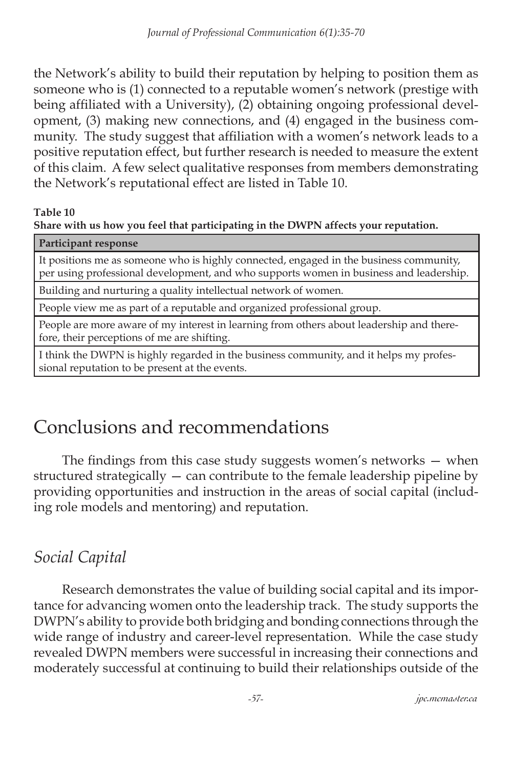the Network's ability to build their reputation by helping to position them as someone who is (1) connected to a reputable women's network (prestige with being affiliated with a University), (2) obtaining ongoing professional development, (3) making new connections, and (4) engaged in the business community. The study suggest that affiliation with a women's network leads to a positive reputation effect, but further research is needed to measure the extent of this claim. A few select qualitative responses from members demonstrating the Network's reputational effect are listed in Table 10.

#### **Table 10**

**Share with us how you feel that participating in the DWPN affects your reputation.**

#### **Participant response**

It positions me as someone who is highly connected, engaged in the business community, per using professional development, and who supports women in business and leadership.

Building and nurturing a quality intellectual network of women.

People view me as part of a reputable and organized professional group.

People are more aware of my interest in learning from others about leadership and therefore, their perceptions of me are shifting.

I think the DWPN is highly regarded in the business community, and it helps my professional reputation to be present at the events.

# Conclusions and recommendations

The findings from this case study suggests women's networks — when structured strategically — can contribute to the female leadership pipeline by providing opportunities and instruction in the areas of social capital (including role models and mentoring) and reputation.

## *Social Capital*

Research demonstrates the value of building social capital and its importance for advancing women onto the leadership track. The study supports the DWPN's ability to provide both bridging and bonding connections through the wide range of industry and career-level representation. While the case study revealed DWPN members were successful in increasing their connections and moderately successful at continuing to build their relationships outside of the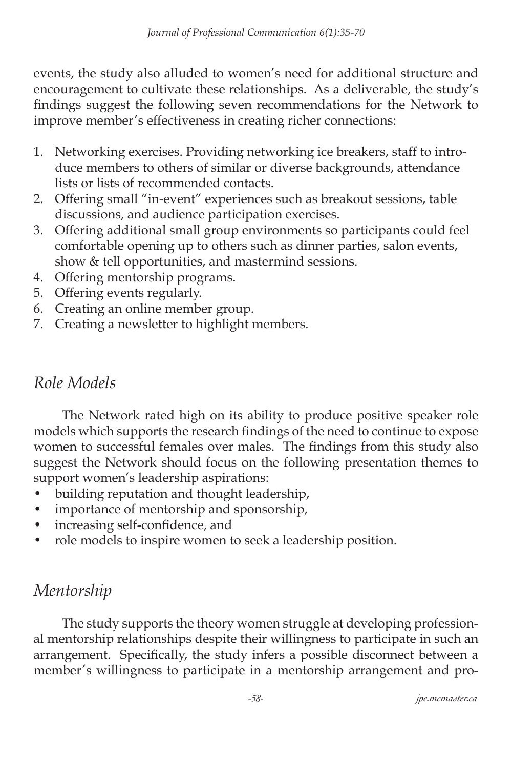events, the study also alluded to women's need for additional structure and encouragement to cultivate these relationships. As a deliverable, the study's findings suggest the following seven recommendations for the Network to improve member's effectiveness in creating richer connections:

- 1. Networking exercises. Providing networking ice breakers, staff to introduce members to others of similar or diverse backgrounds, attendance lists or lists of recommended contacts.
- 2. Offering small "in-event" experiences such as breakout sessions, table discussions, and audience participation exercises.
- 3. Offering additional small group environments so participants could feel comfortable opening up to others such as dinner parties, salon events, show & tell opportunities, and mastermind sessions.
- 4. Offering mentorship programs.
- 5. Offering events regularly.
- 6. Creating an online member group.
- 7. Creating a newsletter to highlight members.

## *Role Models*

The Network rated high on its ability to produce positive speaker role models which supports the research findings of the need to continue to expose women to successful females over males. The findings from this study also suggest the Network should focus on the following presentation themes to support women's leadership aspirations:

- building reputation and thought leadership,
- importance of mentorship and sponsorship,
- increasing self-confidence, and
- role models to inspire women to seek a leadership position.

## *Mentorship*

The study supports the theory women struggle at developing professional mentorship relationships despite their willingness to participate in such an arrangement. Specifically, the study infers a possible disconnect between a member's willingness to participate in a mentorship arrangement and pro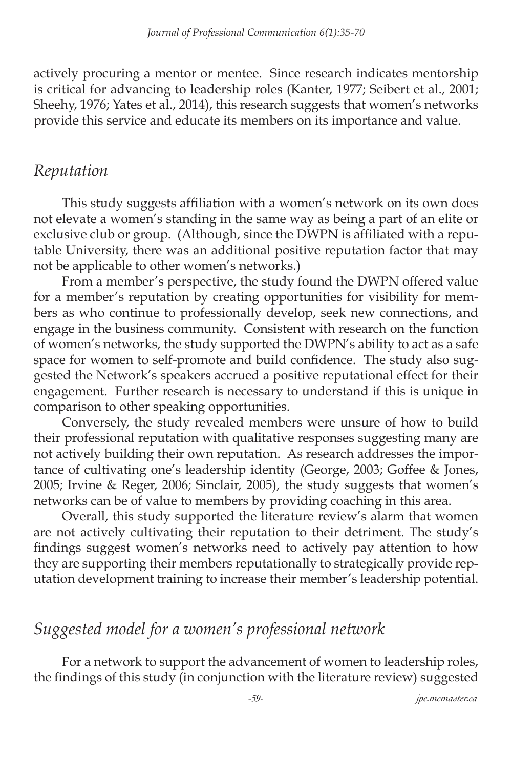actively procuring a mentor or mentee. Since research indicates mentorship is critical for advancing to leadership roles (Kanter, 1977; Seibert et al., 2001; Sheehy, 1976; Yates et al., 2014), this research suggests that women's networks provide this service and educate its members on its importance and value.

### *Reputation*

This study suggests affiliation with a women's network on its own does not elevate a women's standing in the same way as being a part of an elite or exclusive club or group. (Although, since the DWPN is affiliated with a reputable University, there was an additional positive reputation factor that may not be applicable to other women's networks.)

From a member's perspective, the study found the DWPN offered value for a member's reputation by creating opportunities for visibility for members as who continue to professionally develop, seek new connections, and engage in the business community. Consistent with research on the function of women's networks, the study supported the DWPN's ability to act as a safe space for women to self-promote and build confidence. The study also suggested the Network's speakers accrued a positive reputational effect for their engagement. Further research is necessary to understand if this is unique in comparison to other speaking opportunities.

Conversely, the study revealed members were unsure of how to build their professional reputation with qualitative responses suggesting many are not actively building their own reputation. As research addresses the importance of cultivating one's leadership identity (George, 2003; Goffee & Jones, 2005; Irvine & Reger, 2006; Sinclair, 2005), the study suggests that women's networks can be of value to members by providing coaching in this area.

Overall, this study supported the literature review's alarm that women are not actively cultivating their reputation to their detriment. The study's findings suggest women's networks need to actively pay attention to how they are supporting their members reputationally to strategically provide reputation development training to increase their member's leadership potential.

### *Suggested model for a women's professional network*

For a network to support the advancement of women to leadership roles, the findings of this study (in conjunction with the literature review) suggested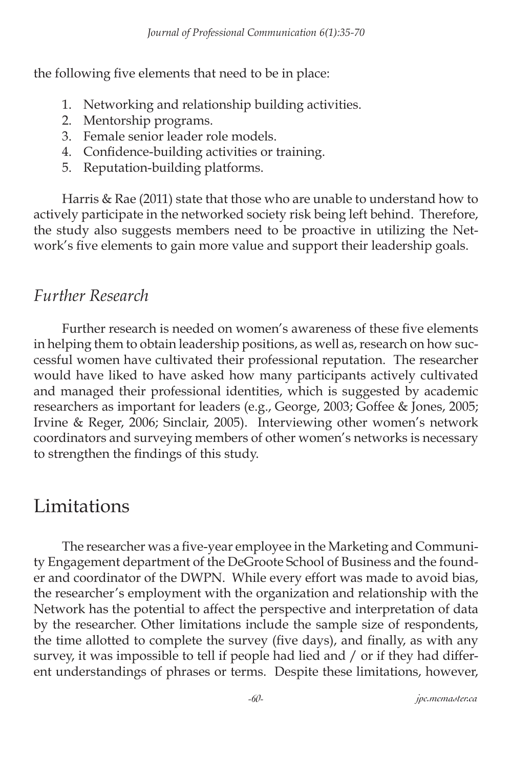the following five elements that need to be in place:

- 1. Networking and relationship building activities.
- 2. Mentorship programs.
- 3. Female senior leader role models.
- 4. Confidence-building activities or training.
- 5. Reputation-building platforms.

Harris & Rae (2011) state that those who are unable to understand how to actively participate in the networked society risk being left behind. Therefore, the study also suggests members need to be proactive in utilizing the Network's five elements to gain more value and support their leadership goals.

### *Further Research*

Further research is needed on women's awareness of these five elements in helping them to obtain leadership positions, as well as, research on how successful women have cultivated their professional reputation. The researcher would have liked to have asked how many participants actively cultivated and managed their professional identities, which is suggested by academic researchers as important for leaders (e.g., George, 2003; Goffee & Jones, 2005; Irvine & Reger, 2006; Sinclair, 2005). Interviewing other women's network coordinators and surveying members of other women's networks is necessary to strengthen the findings of this study.

## **Limitations**

The researcher was a five-year employee in the Marketing and Community Engagement department of the DeGroote School of Business and the founder and coordinator of the DWPN. While every effort was made to avoid bias, the researcher's employment with the organization and relationship with the Network has the potential to affect the perspective and interpretation of data by the researcher. Other limitations include the sample size of respondents, the time allotted to complete the survey (five days), and finally, as with any survey, it was impossible to tell if people had lied and / or if they had different understandings of phrases or terms. Despite these limitations, however,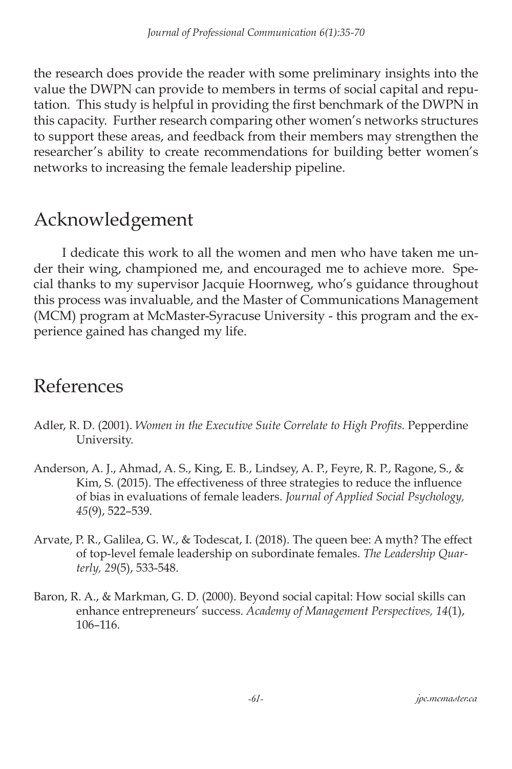the research does provide the reader with some preliminary insights into the value the DWPN can provide to members in terms of social capital and reputation. This study is helpful in providing the first benchmark of the DWPN in this capacity. Further research comparing other women's networks structures to support these areas, and feedback from their members may strengthen the researcher's ability to create recommendations for building better women's networks to increasing the female leadership pipeline.

# Acknowledgement

I dedicate this work to all the women and men who have taken me under their wing, championed me, and encouraged me to achieve more. Special thanks to my supervisor Jacquie Hoornweg, who's guidance throughout this process was invaluable, and the Master of Communications Management (MCM) program at McMaster-Syracuse University - this program and the experience gained has changed my life.

## References

- Adler, R. D. (2001). *Women in the Executive Suite Correlate to High Profits.* Pepperdine University.
- Anderson, A. J., Ahmad, A. S., King, E. B., Lindsey, A. P., Feyre, R. P., Ragone, S., & Kim, S. (2015). The effectiveness of three strategies to reduce the influence of bias in evaluations of female leaders. *Journal of Applied Social Psychology, 45*(9), 522–539.
- Arvate, P. R., Galilea, G. W., & Todescat, I. (2018). The queen bee: A myth? The effect of top-level female leadership on subordinate females. *The Leadership Quarterly, 29*(5), 533-548.
- Baron, R. A., & Markman, G. D. (2000). Beyond social capital: How social skills can enhance entrepreneurs' success. *Academy of Management Perspectives, 14*(1), 106–116.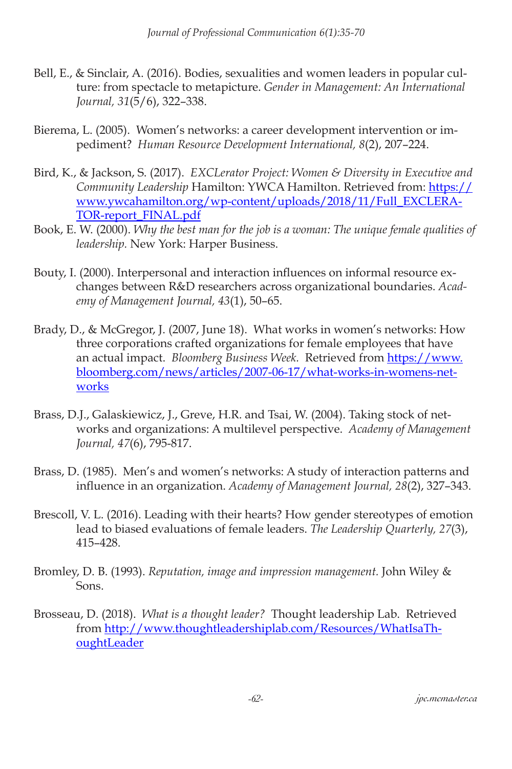- Bell, E., & Sinclair, A. (2016). Bodies, sexualities and women leaders in popular culture: from spectacle to metapicture. *Gender in Management: An International Journal, 31*(5/6), 322–338.
- Bierema, L. (2005). Women's networks: a career development intervention or impediment? *Human Resource Development International, 8*(2), 207–224.
- Bird, K., & Jackson, S. (2017). *EXCLerator Project: Women & Diversity in Executive and Community Leadership* Hamilton: YWCA Hamilton. Retrieved from: [https://](https://www.ywcahamilton.org/wp-content/uploads/2018/11/Full_EXCLERATOR-report_FINAL.pdf) [www.ywcahamilton.org/wp-content/uploads/2018/11/Full\\_EXCLERA-](https://www.ywcahamilton.org/wp-content/uploads/2018/11/Full_EXCLERATOR-report_FINAL.pdf)[TOR-report\\_FINAL.pdf](https://www.ywcahamilton.org/wp-content/uploads/2018/11/Full_EXCLERATOR-report_FINAL.pdf)
- Book, E. W. (2000). *Why the best man for the job is a woman: The unique female qualities of leadership.* New York: Harper Business.
- Bouty, I. (2000). Interpersonal and interaction influences on informal resource exchanges between R&D researchers across organizational boundaries. *Academy of Management Journal, 43*(1), 50–65.
- Brady, D., & McGregor, J. (2007, June 18). What works in women's networks: How three corporations crafted organizations for female employees that have an actual impact. *Bloomberg Business Week.* Retrieved from [https://www.](https://www.bloomberg.com/news/articles/2007-06-17/what-works-in-womens-networks ) [bloomberg.com/news/articles/2007-06-17/what-works-in-womens-net](https://www.bloomberg.com/news/articles/2007-06-17/what-works-in-womens-networks )[works](https://www.bloomberg.com/news/articles/2007-06-17/what-works-in-womens-networks )
- Brass, D.J., Galaskiewicz, J., Greve, H.R. and Tsai, W. (2004). Taking stock of networks and organizations: A multilevel perspective. *Academy of Management Journal, 47*(6), 795-817.
- Brass, D. (1985). Men's and women's networks: A study of interaction patterns and influence in an organization. *Academy of Management Journal, 28*(2), 327–343.
- Brescoll, V. L. (2016). Leading with their hearts? How gender stereotypes of emotion lead to biased evaluations of female leaders. *The Leadership Quarterly, 27*(3), 415–428.
- Bromley, D. B. (1993). *Reputation, image and impression management.* John Wiley & Sons.
- Brosseau, D. (2018). *What is a thought leader?* Thought leadership Lab. Retrieved from [http://www.thoughtleadershiplab.com/Resources/WhatIsaTh](http://www.thoughtleadershiplab.com/Resources/WhatIsaThoughtLeader)[oughtLeader](http://www.thoughtleadershiplab.com/Resources/WhatIsaThoughtLeader)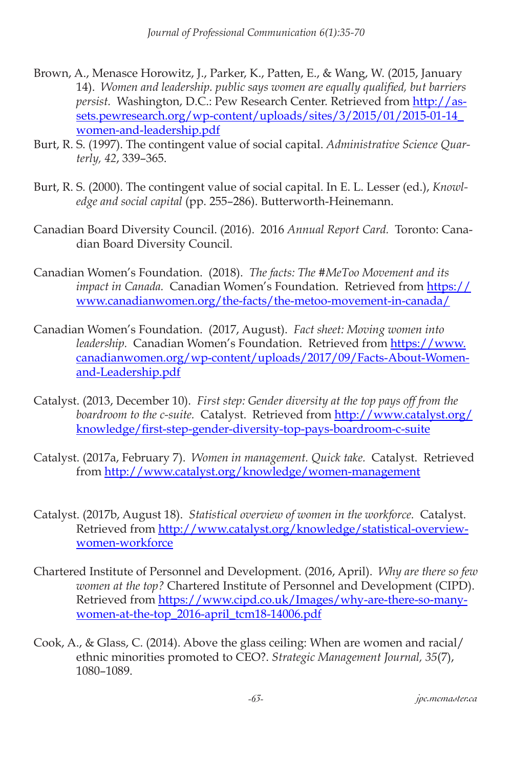- Brown, A., Menasce Horowitz, J., Parker, K., Patten, E., & Wang, W. (2015, January 14). *Women and leadership. public says women are equally qualified, but barriers persist.* Washington, D.C.: Pew Research Center. Retrieved from [http://as](http://assets.pewresearch.org/wp-content/uploads/sites/3/2015/01/2015-01-14_women-and-leadership.pdf )[sets.pewresearch.org/wp-content/uploads/sites/3/2015/01/2015-01-14\\_](http://assets.pewresearch.org/wp-content/uploads/sites/3/2015/01/2015-01-14_women-and-leadership.pdf ) [women-and-leadership.pdf](http://assets.pewresearch.org/wp-content/uploads/sites/3/2015/01/2015-01-14_women-and-leadership.pdf )
- Burt, R. S. (1997). The contingent value of social capital. *Administrative Science Quarterly, 42*, 339–365.
- Burt, R. S. (2000). The contingent value of social capital. In E. L. Lesser (ed.), *Knowledge and social capital* (pp. 255–286). Butterworth-Heinemann.
- Canadian Board Diversity Council. (2016). 2016 *Annual Report Card.* Toronto: Canadian Board Diversity Council.
- Canadian Women's Foundation. (2018). *The facts: The #MeToo Movement and its impact in Canada.* Canadian Women's Foundation. Retrieved from [https://](https://www.canadianwomen.org/the-facts/the-metoo-movement-in-canada/) [www.canadianwomen.org/the-facts/the-metoo-movement-in-canada/](https://www.canadianwomen.org/the-facts/the-metoo-movement-in-canada/)
- Canadian Women's Foundation. (2017, August). *Fact sheet: Moving women into leadership.* Canadian Women's Foundation. Retrieved from [https://www.](https://www.canadianwomen.org/wp-content/uploads/2017/09/Facts-About-Women-and-Leadership.pdf ) [canadianwomen.org/wp-content/uploads/2017/09/Facts-About-Women](https://www.canadianwomen.org/wp-content/uploads/2017/09/Facts-About-Women-and-Leadership.pdf )[and-Leadership.pdf](https://www.canadianwomen.org/wp-content/uploads/2017/09/Facts-About-Women-and-Leadership.pdf )
- Catalyst. (2013, December 10). *First step: Gender diversity at the top pays off from the boardroom to the c-suite.* Catalyst. Retrieved from [http://www.catalyst.org/](http://www.catalyst.org/knowledge/first-step-gender-diversity-top-pays-boardroom-c-suite ) [knowledge/first-step-gender-diversity-top-pays-boardroom-c-suite](http://www.catalyst.org/knowledge/first-step-gender-diversity-top-pays-boardroom-c-suite )
- Catalyst. (2017a, February 7). *Women in management. Quick take.* Catalyst. Retrieved from [http://www.catalyst.org/knowledge/women-management](http://www.catalyst.org/knowledge/women-management )
- Catalyst. (2017b, August 18). *Statistical overview of women in the workforce.* Catalyst. Retrieved from [http://www.catalyst.org/knowledge/statistical-overview](http://www.catalyst.org/knowledge/statistical-overview-women-workforce )[women-workforce](http://www.catalyst.org/knowledge/statistical-overview-women-workforce )
- Chartered Institute of Personnel and Development. (2016, April). *Why are there so few women at the top?* Chartered Institute of Personnel and Development (CIPD). Retrieved from [https://www.cipd.co.uk/Images/why-are-there-so-many](https://www.cipd.co.uk/Images/why-are-there-so-many-women-at-the-top_2016-april_tcm18-14006.pdf )[women-at-the-top\\_2016-april\\_tcm18-14006.pdf](https://www.cipd.co.uk/Images/why-are-there-so-many-women-at-the-top_2016-april_tcm18-14006.pdf )
- Cook, A., & Glass, C. (2014). Above the glass ceiling: When are women and racial/ ethnic minorities promoted to CEO?. *Strategic Management Journal, 35*(7), 1080–1089.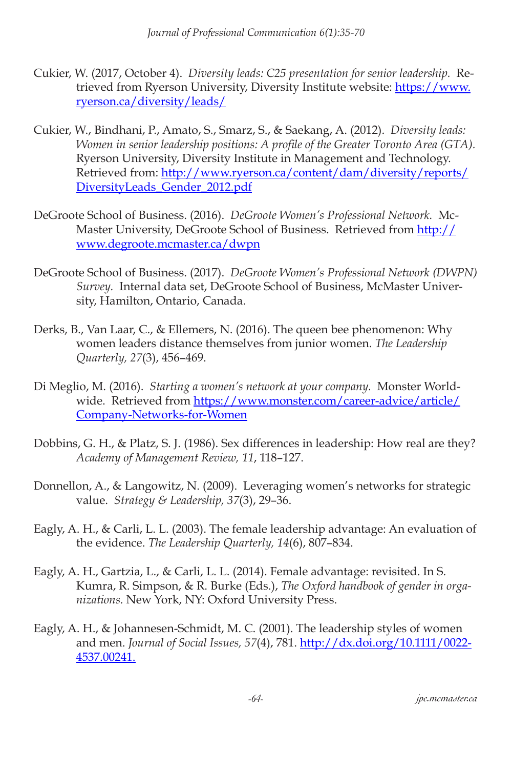- Cukier, W. (2017, October 4). *Diversity leads: C25 presentation for senior leadership.* Retrieved from Ryerson University, Diversity Institute website: [https://www.](https://www.ryerson.ca/diversity/leads/ ) [ryerson.ca/diversity/leads/](https://www.ryerson.ca/diversity/leads/ )
- Cukier, W., Bindhani, P., Amato, S., Smarz, S., & Saekang, A. (2012). *Diversity leads: Women in senior leadership positions: A profile of the Greater Toronto Area (GTA).*  Ryerson University, Diversity Institute in Management and Technology. Retrieved from: [http://www.ryerson.ca/content/dam/diversity/reports/](http://www.ryerson.ca/content/dam/diversity/reports/DiversityLeads_Gender_2012.pdf ) [DiversityLeads\\_Gender\\_2012.pdf](http://www.ryerson.ca/content/dam/diversity/reports/DiversityLeads_Gender_2012.pdf )
- DeGroote School of Business. (2016). *DeGroote Women's Professional Network.* McMaster University, DeGroote School of Business. Retrieved from [http://](http://www.degroote.mcmaster.ca/dwpn ) [www.degroote.mcmaster.ca/dwpn](http://www.degroote.mcmaster.ca/dwpn )
- DeGroote School of Business. (2017). *DeGroote Women's Professional Network (DWPN) Survey.* Internal data set, DeGroote School of Business, McMaster University, Hamilton, Ontario, Canada.
- Derks, B., Van Laar, C., & Ellemers, N. (2016). The queen bee phenomenon: Why women leaders distance themselves from junior women. *The Leadership Quarterly, 27*(3), 456–469.
- Di Meglio, M. (2016). *Starting a women's network at your company.* Monster Worldwide. Retrieved from [https://www.monster.com/career-advice/article/](https://www.monster.com/career-advice/article/Company-Networks-for-Women) [Company-Networks-for-Women](https://www.monster.com/career-advice/article/Company-Networks-for-Women)
- Dobbins, G. H., & Platz, S. J. (1986). Sex differences in leadership: How real are they? *Academy of Management Review, 11*, 118–127.
- Donnellon, A., & Langowitz, N. (2009). Leveraging women's networks for strategic value. *Strategy & Leadership, 37*(3), 29–36.
- Eagly, A. H., & Carli, L. L. (2003). The female leadership advantage: An evaluation of the evidence. *The Leadership Quarterly, 14*(6), 807–834.
- Eagly, A. H., Gartzia, L., & Carli, L. L. (2014). Female advantage: revisited. In S. Kumra, R. Simpson, & R. Burke (Eds.), *The Oxford handbook of gender in organizations.* New York, NY: Oxford University Press.
- Eagly, A. H., & Johannesen-Schmidt, M. C. (2001). The leadership styles of women and men. *Journal of Social Issues, 57*(4), 781. [http://dx.doi.org/10.1111/0022-](http://dx.doi.org/10.1111/0022-4537.00241. ) [4537.00241.](http://dx.doi.org/10.1111/0022-4537.00241. )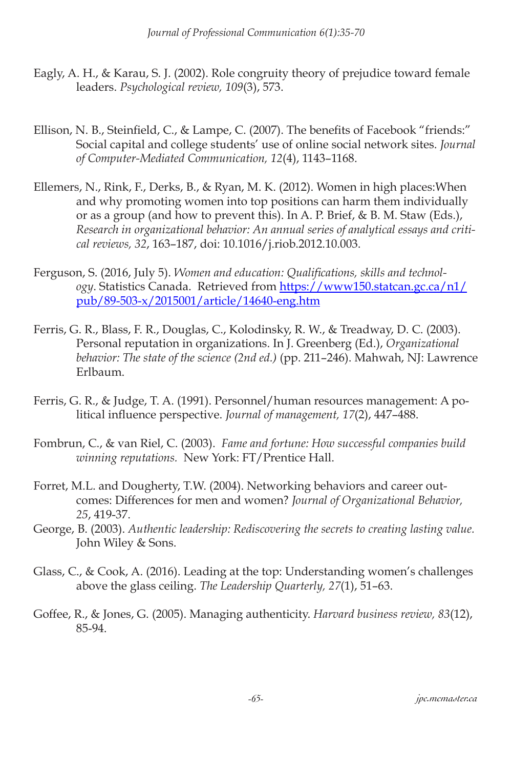- Eagly, A. H., & Karau, S. J. (2002). Role congruity theory of prejudice toward female leaders. *Psychological review, 109*(3), 573.
- Ellison, N. B., Steinfield, C., & Lampe, C. (2007). The benefits of Facebook "friends:" Social capital and college students' use of online social network sites. *Journal of Computer-Mediated Communication, 12*(4), 1143–1168.
- Ellemers, N., Rink, F., Derks, B., & Ryan, M. K. (2012). Women in high places:When and why promoting women into top positions can harm them individually or as a group (and how to prevent this). In A. P. Brief, & B. M. Staw (Eds.), *Research in organizational behavior: An annual series of analytical essays and critical reviews, 32*, 163–187, doi: 10.1016/j.riob.2012.10.003.
- Ferguson, S. (2016, July 5). *Women and education: Qualifications, skills and technology*. Statistics Canada. Retrieved from [https://www150.statcan.gc.ca/n1/](https://www150.statcan.gc.ca/n1/pub/89-503-x/2015001/article/14640-eng.htm ) [pub/89-503-x/2015001/article/14640-eng.htm](https://www150.statcan.gc.ca/n1/pub/89-503-x/2015001/article/14640-eng.htm )
- Ferris, G. R., Blass, F. R., Douglas, C., Kolodinsky, R. W., & Treadway, D. C. (2003). Personal reputation in organizations. In J. Greenberg (Ed.), *Organizational behavior: The state of the science (2nd ed.)* (pp. 211–246). Mahwah, NJ: Lawrence Erlbaum.
- Ferris, G. R., & Judge, T. A. (1991). Personnel/human resources management: A political influence perspective. *Journal of management, 17*(2), 447–488.
- Fombrun, C., & van Riel, C. (2003). *Fame and fortune: How successful companies build winning reputations.* New York: FT/Prentice Hall.
- Forret, M.L. and Dougherty, T.W. (2004). Networking behaviors and career outcomes: Differences for men and women? *Journal of Organizational Behavior, 25*, 419-37.
- George, B. (2003). *Authentic leadership: Rediscovering the secrets to creating lasting value.* John Wiley & Sons.
- Glass, C., & Cook, A. (2016). Leading at the top: Understanding women's challenges above the glass ceiling. *The Leadership Quarterly, 27*(1), 51–63.
- Goffee, R., & Jones, G. (2005). Managing authenticity. *Harvard business review, 83*(12), 85-94.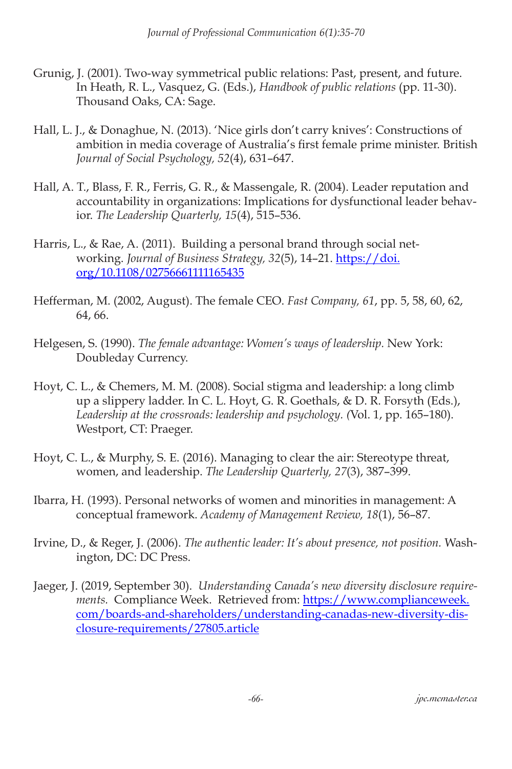- Grunig, J. (2001). Two-way symmetrical public relations: Past, present, and future. In Heath, R. L., Vasquez, G. (Eds.), *Handbook of public relations* (pp. 11-30). Thousand Oaks, CA: Sage.
- Hall, L. J., & Donaghue, N. (2013). 'Nice girls don't carry knives': Constructions of ambition in media coverage of Australia's first female prime minister. British *Journal of Social Psychology, 52*(4), 631–647.
- Hall, A. T., Blass, F. R., Ferris, G. R., & Massengale, R. (2004). Leader reputation and accountability in organizations: Implications for dysfunctional leader behavior. *The Leadership Quarterly, 15*(4), 515–536.
- Harris, L., & Rae, A. (2011). Building a personal brand through social networking. *Journal of Business Strategy, 32*(5), 14–21. [https://doi.](https://doi.org/10.1108/02756661111165435 ) [org/10.1108/02756661111165435](https://doi.org/10.1108/02756661111165435 )
- Hefferman, M. (2002, August). The female CEO. *Fast Company, 61*, pp. 5, 58, 60, 62, 64, 66.
- Helgesen, S. (1990). *The female advantage: Women's ways of leadership.* New York: Doubleday Currency.
- Hoyt, C. L., & Chemers, M. M. (2008). Social stigma and leadership: a long climb up a slippery ladder. In C. L. Hoyt, G. R. Goethals, & D. R. Forsyth (Eds.), *Leadership at the crossroads: leadership and psychology. (*Vol. 1, pp. 165–180). Westport, CT: Praeger.
- Hoyt, C. L., & Murphy, S. E. (2016). Managing to clear the air: Stereotype threat, women, and leadership. *The Leadership Quarterly, 27*(3), 387–399.
- Ibarra, H. (1993). Personal networks of women and minorities in management: A conceptual framework. *Academy of Management Review, 18*(1), 56–87.
- Irvine, D., & Reger, J. (2006). *The authentic leader: It's about presence, not position.* Washington, DC: DC Press.
- Jaeger, J. (2019, September 30). *Understanding Canada's new diversity disclosure requirements.* Compliance Week. Retrieved from: [https://www.complianceweek.](https://www.complianceweek.com/boards-and-shareholders/understanding-canadas-new-diversity-disclosure-requirements/27805.article ) [com/boards-and-shareholders/understanding-canadas-new-diversity-dis](https://www.complianceweek.com/boards-and-shareholders/understanding-canadas-new-diversity-disclosure-requirements/27805.article )[closure-requirements/27805.article](https://www.complianceweek.com/boards-and-shareholders/understanding-canadas-new-diversity-disclosure-requirements/27805.article )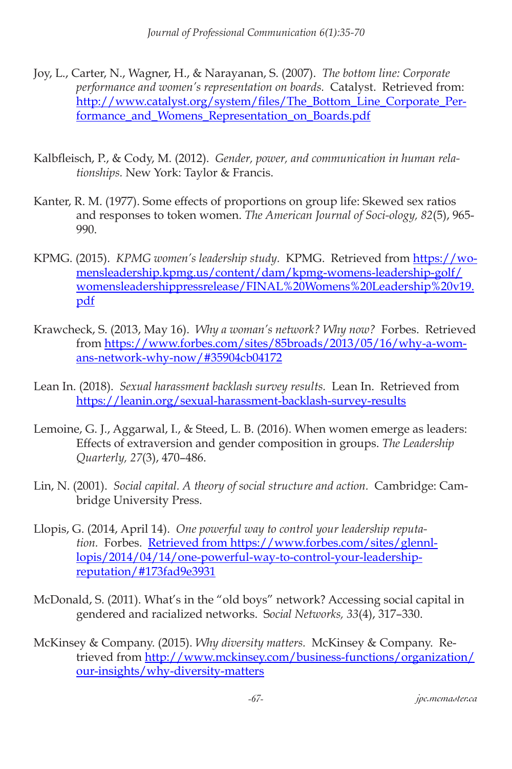- Joy, L., Carter, N., Wagner, H., & Narayanan, S. (2007). *The bottom line: Corporate performance and women's representation on boards.* Catalyst. Retrieved from: [http://www.catalyst.org/system/files/The\\_Bottom\\_Line\\_Corporate\\_Per](http://www.catalyst.org/system/files/The_Bottom_Line_Corporate_Performance_and_Womens_Representation_on_Boards.pdf  )[formance\\_and\\_Womens\\_Representation\\_on\\_Boards.pdf](http://www.catalyst.org/system/files/The_Bottom_Line_Corporate_Performance_and_Womens_Representation_on_Boards.pdf  )
- Kalbfleisch, P., & Cody, M. (2012). *Gender, power, and communication in human relationships.* New York: Taylor & Francis.
- Kanter, R. M. (1977). Some effects of proportions on group life: Skewed sex ratios and responses to token women. *The American Journal of Soci-ology, 82*(5), 965- 990.
- KPMG. (2015). *KPMG women's leadership study.* KPMG. Retrieved from [https://wo](https://womensleadership.kpmg.us/content/dam/kpmg-womens-leadership-golf/womensleadershippressrelease/FINAL%20Womens%20Leadership%20v19.pdf )[mensleadership.kpmg.us/content/dam/kpmg-womens-leadership-golf/](https://womensleadership.kpmg.us/content/dam/kpmg-womens-leadership-golf/womensleadershippressrelease/FINAL%20Womens%20Leadership%20v19.pdf ) [womensleadershippressrelease/FINAL%20Womens%20Leadership%20v19.](https://womensleadership.kpmg.us/content/dam/kpmg-womens-leadership-golf/womensleadershippressrelease/FINAL%20Womens%20Leadership%20v19.pdf ) [pdf](https://womensleadership.kpmg.us/content/dam/kpmg-womens-leadership-golf/womensleadershippressrelease/FINAL%20Womens%20Leadership%20v19.pdf )
- Krawcheck, S. (2013, May 16). *Why a woman's network? Why now?* Forbes. Retrieved from [https://www.forbes.com/sites/85broads/2013/05/16/why-a-wom](https://www.forbes.com/sites/85broads/2013/05/16/why-a-womans-network-why-now/#35904cb04172  )[ans-network-why-now/#35904cb04172](https://www.forbes.com/sites/85broads/2013/05/16/why-a-womans-network-why-now/#35904cb04172  )
- Lean In. (2018). *Sexual harassment backlash survey results.* Lean In. Retrieved from [https://leanin.org/sexual-harassment-backlash-survey-results](https://leanin.org/sexual-harassment-backlash-survey-results )
- Lemoine, G. J., Aggarwal, I., & Steed, L. B. (2016). When women emerge as leaders: Effects of extraversion and gender composition in groups. *The Leadership Quarterly, 27*(3), 470–486.
- Lin, N. (2001). *Social capital. A theory of social structure and action.* Cambridge: Cambridge University Press.
- Llopis, G. (2014, April 14). *One powerful way to control your leadership reputation.* Forbes. [Retrieved from https://www.forbes.com/sites/glennl](Retrieved from https://www.forbes.com/sites/glennllopis/2014/04/14/one-powerful-way-to-control-your-leadership-reputation/#173fad9e3931)[lopis/2014/04/14/one-powerful-way-to-control-your-leadership](Retrieved from https://www.forbes.com/sites/glennllopis/2014/04/14/one-powerful-way-to-control-your-leadership-reputation/#173fad9e3931)[reputation/#173fad9e3931](Retrieved from https://www.forbes.com/sites/glennllopis/2014/04/14/one-powerful-way-to-control-your-leadership-reputation/#173fad9e3931)
- McDonald, S. (2011). What's in the "old boys" network? Accessing social capital in gendered and racialized networks. S*ocial Networks, 33*(4), 317–330.
- McKinsey & Company. (2015). *Why diversity matters.* McKinsey & Company. Retrieved from [http://www.mckinsey.com/business-functions/organization/](http://www.mckinsey.com/business-functions/organization/our-insights/why-diversity-matters ) [our-insights/why-diversity-matters](http://www.mckinsey.com/business-functions/organization/our-insights/why-diversity-matters )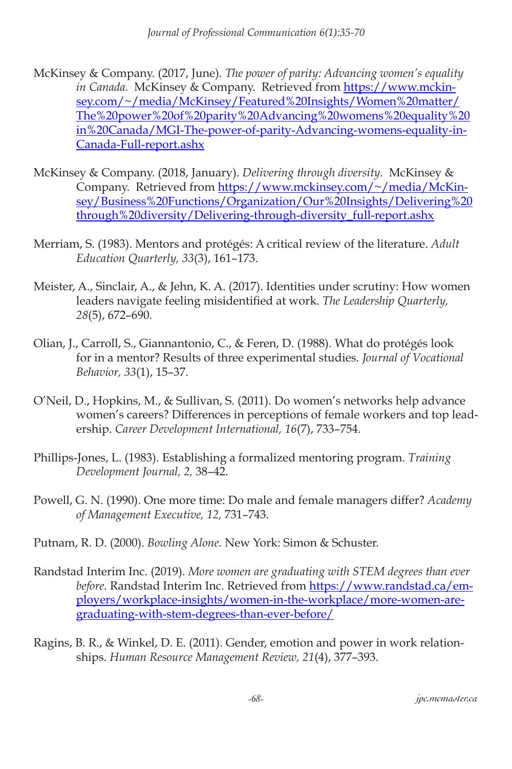- McKinsey & Company. (2017, June). *The power of parity: Advancing women's equality in Canada.* McKinsey & Company. Retrieved from [https://www.mckin](https://www.mckinsey.com/~/media/McKinsey/Featured%20Insights/Women%20matter/The%20power%20of%20parity%20Advancing%20womens%20equality%20in%20Canada/MGI-The-power-of-parity-Advancing-womens-equality-in-Canada-Full-report.ashx )[sey.com/~/media/McKinsey/Featured%20Insights/Women%20matter/](https://www.mckinsey.com/~/media/McKinsey/Featured%20Insights/Women%20matter/The%20power%20of%20parity%20Advancing%20womens%20equality%20in%20Canada/MGI-The-power-of-parity-Advancing-womens-equality-in-Canada-Full-report.ashx ) [The%20power%20of%20parity%20Advancing%20womens%20equality%20](https://www.mckinsey.com/~/media/McKinsey/Featured%20Insights/Women%20matter/The%20power%20of%20parity%20Advancing%20womens%20equality%20in%20Canada/MGI-The-power-of-parity-Advancing-womens-equality-in-Canada-Full-report.ashx ) [in%20Canada/MGI-The-power-of-parity-Advancing-womens-equality-in-](https://www.mckinsey.com/~/media/McKinsey/Featured%20Insights/Women%20matter/The%20power%20of%20parity%20Advancing%20womens%20equality%20in%20Canada/MGI-The-power-of-parity-Advancing-womens-equality-in-Canada-Full-report.ashx )[Canada-Full-report.ashx](https://www.mckinsey.com/~/media/McKinsey/Featured%20Insights/Women%20matter/The%20power%20of%20parity%20Advancing%20womens%20equality%20in%20Canada/MGI-The-power-of-parity-Advancing-womens-equality-in-Canada-Full-report.ashx )
- McKinsey & Company. (2018, January). *Delivering through diversity.* McKinsey & Company. Retrieved from [https://www.mckinsey.com/~/media/McKin](https://www.mckinsey.com/~/media/McKinsey/Business%20Functions/Organization/Our%20Insights/Delivering%20through%20diversity/Delivering-through-diversity_full-report.ashx  )[sey/Business%20Functions/Organization/Our%20Insights/Delivering%20](https://www.mckinsey.com/~/media/McKinsey/Business%20Functions/Organization/Our%20Insights/Delivering%20through%20diversity/Delivering-through-diversity_full-report.ashx  ) [through%20diversity/Delivering-through-diversity\\_full-report.ashx](https://www.mckinsey.com/~/media/McKinsey/Business%20Functions/Organization/Our%20Insights/Delivering%20through%20diversity/Delivering-through-diversity_full-report.ashx  )
- Merriam, S. (1983). Mentors and protégés: A critical review of the literature. *Adult Education Quarterly, 33*(3), 161–173.
- Meister, A., Sinclair, A., & Jehn, K. A. (2017). Identities under scrutiny: How women leaders navigate feeling misidentified at work. *The Leadership Quarterly, 28*(5), 672–690.
- Olian, J., Carroll, S., Giannantonio, C., & Feren, D. (1988). What do protégés look for in a mentor? Results of three experimental studies. *Journal of Vocational Behavior, 33*(1), 15–37.
- O'Neil, D., Hopkins, M., & Sullivan, S. (2011). Do women's networks help advance women's careers? Differences in perceptions of female workers and top leadership. *Career Development International, 16*(7), 733–754.
- Phillips-Jones, L. (1983). Establishing a formalized mentoring program. *Training Development Journal, 2,* 38–42.
- Powell, G. N. (1990). One more time: Do male and female managers differ? *Academy of Management Executive, 12,* 731–743.
- Putnam, R. D. (2000). *Bowling Alone.* New York: Simon & Schuster.
- Randstad Interim Inc. (2019). *More women are graduating with STEM degrees than ever before.* Randstad Interim Inc. Retrieved from [https://www.randstad.ca/em](https://www.randstad.ca/employers/workplace-insights/women-in-the-workplace/more-women-are-graduating-with-stem-degrees-than-ever-before/)[ployers/workplace-insights/women-in-the-workplace/more-women-are](https://www.randstad.ca/employers/workplace-insights/women-in-the-workplace/more-women-are-graduating-with-stem-degrees-than-ever-before/)[graduating-with-stem-degrees-than-ever-before/](https://www.randstad.ca/employers/workplace-insights/women-in-the-workplace/more-women-are-graduating-with-stem-degrees-than-ever-before/)
- Ragins, B. R., & Winkel, D. E. (2011). Gender, emotion and power in work relationships. *Human Resource Management Review, 21*(4), 377–393.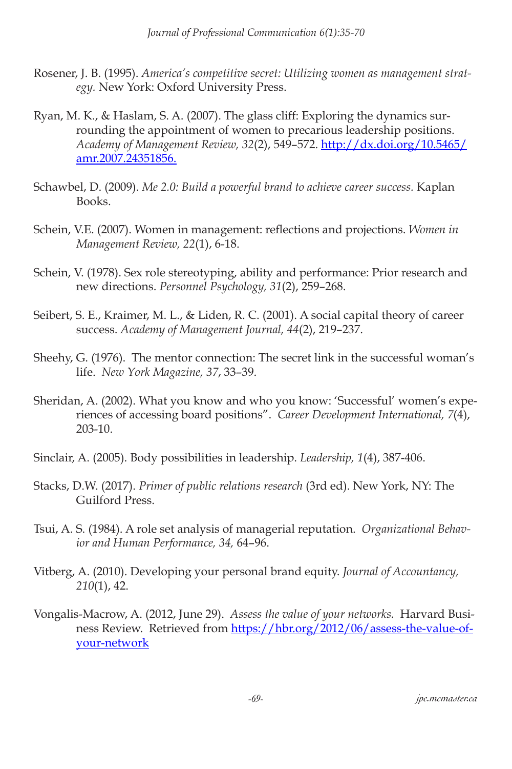- Rosener, J. B. (1995). *America's competitive secret: Utilizing women as management strategy.* New York: Oxford University Press.
- Ryan, M. K., & Haslam, S. A. (2007). The glass cliff: Exploring the dynamics surrounding the appointment of women to precarious leadership positions. *Academy of Management Review, 32*(2), 549–572. [http://dx.doi.org/10.5465/](http://dx.doi.org/10.5465/amr.2007.24351856.  ) [amr.2007.24351856.](http://dx.doi.org/10.5465/amr.2007.24351856.  )
- Schawbel, D. (2009). *Me 2.0: Build a powerful brand to achieve career success.* Kaplan Books.
- Schein, V.E. (2007). Women in management: reflections and projections. *Women in Management Review, 22*(1), 6-18.
- Schein, V. (1978). Sex role stereotyping, ability and performance: Prior research and new directions. *Personnel Psychology, 31*(2), 259–268.
- Seibert, S. E., Kraimer, M. L., & Liden, R. C. (2001). A social capital theory of career success. *Academy of Management Journal, 44*(2), 219–237.
- Sheehy, G. (1976). The mentor connection: The secret link in the successful woman's life. *New York Magazine, 37*, 33–39.
- Sheridan, A. (2002). What you know and who you know: 'Successful' women's experiences of accessing board positions". *Career Development International, 7*(4), 203-10.
- Sinclair, A. (2005). Body possibilities in leadership. *Leadership, 1*(4), 387-406.
- Stacks, D.W. (2017). *Primer of public relations research* (3rd ed). New York, NY: The Guilford Press.
- Tsui, A. S. (1984). A role set analysis of managerial reputation. *Organizational Behavior and Human Performance, 34,* 64–96.
- Vitberg, A. (2010). Developing your personal brand equity. *Journal of Accountancy, 210*(1), 42.
- Vongalis-Macrow, A. (2012, June 29). *Assess the value of your networks.* Harvard Business Review. Retrieved from [https://hbr.org/2012/06/assess-the-value-of](https://hbr.org/2012/06/assess-the-value-of-your-network )[your-network](https://hbr.org/2012/06/assess-the-value-of-your-network )